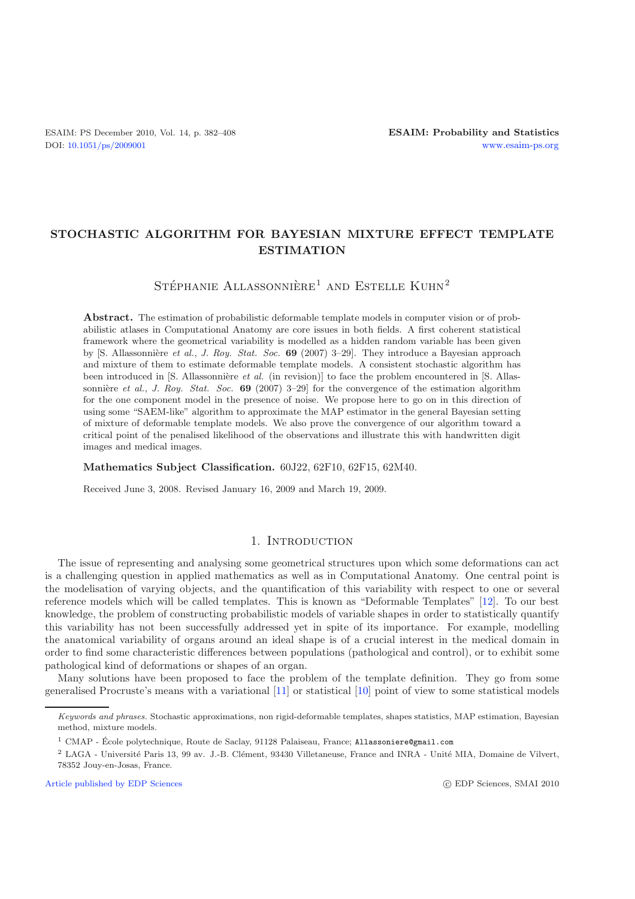ESAIM: PS December 2010, Vol. 14, p. 382–408 **ESAIM: Probability and Statistics** DOI: [10.1051/ps/2009001](http://dx.doi.org/10.1051/ps/2009001) [www.esaim-ps.org](http://www.esaim-ps.org)

## **STOCHASTIC ALGORITHM FOR BAYESIAN MIXTURE EFFECT TEMPLATE ESTIMATION**

# Stéphanie Allassonnière<sup>1</sup> and Estelle Kuhn<sup>2</sup>

**Abstract.** The estimation of probabilistic deformable template models in computer vision or of probabilistic atlases in Computational Anatomy are core issues in both fields. A first coherent statistical framework where the geometrical variability is modelled as a hidden random variable has been given by [S. Allassonnière *et al.*, *J. Roy. Stat. Soc.* **69** (2007) 3–29]. They introduce a Bayesian approach and mixture of them to estimate deformable template models. A consistent stochastic algorithm has been introduced in [S. Allassonnière *et al.* (in revision)] to face the problem encountered in [S. Allassonnière *et al.*, *J. Roy. Stat. Soc.* **69** (2007) 3–29] for the convergence of the estimation algorithm for the one component model in the presence of noise. We propose here to go on in this direction of using some "SAEM-like" algorithm to approximate the MAP estimator in the general Bayesian setting of mixture of deformable template models. We also prove the convergence of our algorithm toward a critical point of the penalised likelihood of the observations and illustrate this with handwritten digit images and medical images.

**Mathematics Subject Classification.** 60J22, 62F10, 62F15, 62M40.

Received June 3, 2008. Revised January 16, 2009 and March 19, 2009.

## 1. INTRODUCTION

The issue of representing and analysing some geometrical structures upon which some deformations can act is a challenging question in applied mathematics as well as in Computational Anatomy. One central point is the modelisation of varying objects, and the quantification of this variability with respect to one or several reference models which will be called templates. This is known as "Deformable Templates" [\[12\]](#page-25-0). To our best knowledge, the problem of constructing probabilistic models of variable shapes in order to statistically quantify this variability has not been successfully addressed yet in spite of its importance. For example, modelling the anatomical variability of organs around an ideal shape is of a crucial interest in the medical domain in order to find some characteristic differences between populations (pathological and control), or to exhibit some pathological kind of deformations or shapes of an organ.

Many solutions have been proposed to face the problem of the template definition. They go from some generalised Procruste's means with a variational [\[11\]](#page-25-1) or statistical [\[10\]](#page-25-2) point of view to some statistical models

[Article published by EDP Sciences](http://www.edpsciences.org)

*Keywords and phrases.* Stochastic approximations, non rigid-deformable templates, shapes statistics, MAP estimation, Bayesian method, mixture models.

 $1$  CMAP - École polytechnique, Route de Saclay, 91128 Palaiseau, France; Allassoniere@gmail.com

<sup>&</sup>lt;sup>2</sup> LAGA - Université Paris 13, 99 av. J.-B. Clément, 93430 Villetaneuse, France and INRA - Unité MIA, Domaine de Vilvert, 78352 Jouy-en-Josas, France.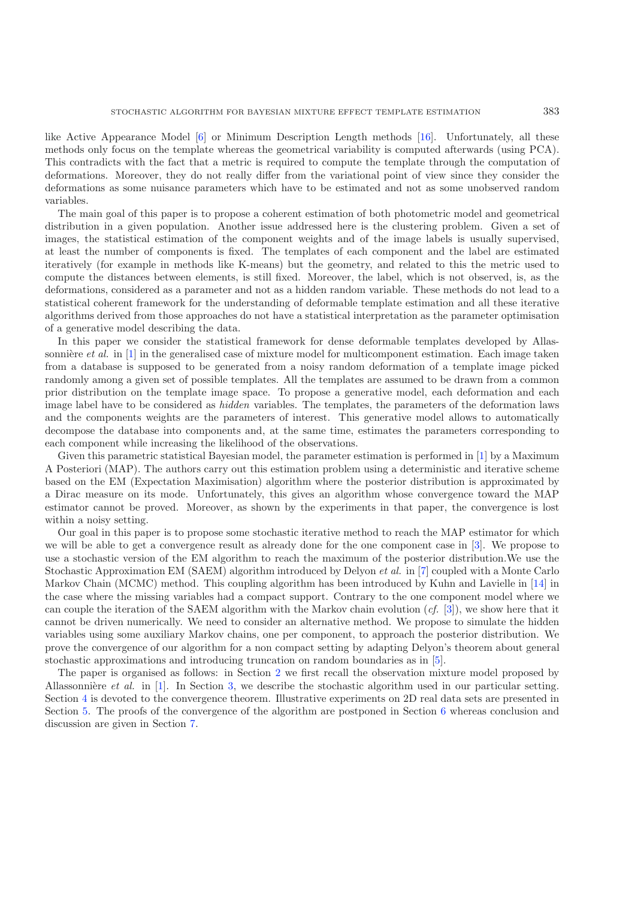like Active Appearance Model [\[6\]](#page-25-3) or Minimum Description Length methods [\[16\]](#page-26-0). Unfortunately, all these methods only focus on the template whereas the geometrical variability is computed afterwards (using PCA). This contradicts with the fact that a metric is required to compute the template through the computation of deformations. Moreover, they do not really differ from the variational point of view since they consider the deformations as some nuisance parameters which have to be estimated and not as some unobserved random variables.

The main goal of this paper is to propose a coherent estimation of both photometric model and geometrical distribution in a given population. Another issue addressed here is the clustering problem. Given a set of images, the statistical estimation of the component weights and of the image labels is usually supervised, at least the number of components is fixed. The templates of each component and the label are estimated iteratively (for example in methods like K-means) but the geometry, and related to this the metric used to compute the distances between elements, is still fixed. Moreover, the label, which is not observed, is, as the deformations, considered as a parameter and not as a hidden random variable. These methods do not lead to a statistical coherent framework for the understanding of deformable template estimation and all these iterative algorithms derived from those approaches do not have a statistical interpretation as the parameter optimisation of a generative model describing the data.

In this paper we consider the statistical framework for dense deformable templates developed by Allassonnière *et al.* in [\[1](#page-25-4)] in the generalised case of mixture model for multicomponent estimation. Each image taken from a database is supposed to be generated from a noisy random deformation of a template image picked randomly among a given set of possible templates. All the templates are assumed to be drawn from a common prior distribution on the template image space. To propose a generative model, each deformation and each image label have to be considered as *hidden* variables. The templates, the parameters of the deformation laws and the components weights are the parameters of interest. This generative model allows to automatically decompose the database into components and, at the same time, estimates the parameters corresponding to each component while increasing the likelihood of the observations.

Given this parametric statistical Bayesian model, the parameter estimation is performed in [\[1](#page-25-4)] by a Maximum A Posteriori (MAP). The authors carry out this estimation problem using a deterministic and iterative scheme based on the EM (Expectation Maximisation) algorithm where the posterior distribution is approximated by a Dirac measure on its mode. Unfortunately, this gives an algorithm whose convergence toward the MAP estimator cannot be proved. Moreover, as shown by the experiments in that paper, the convergence is lost within a noisy setting.

Our goal in this paper is to propose some stochastic iterative method to reach the MAP estimator for which we will be able to get a convergence result as already done for the one component case in [\[3\]](#page-25-5). We propose to use a stochastic version of the EM algorithm to reach the maximum of the posterior distribution.We use the Stochastic Approximation EM (SAEM) algorithm introduced by Delyon *et al.* in [\[7](#page-25-6)] coupled with a Monte Carlo Markov Chain (MCMC) method. This coupling algorithm has been introduced by Kuhn and Lavielle in [\[14\]](#page-26-1) in the case where the missing variables had a compact support. Contrary to the one component model where we can couple the iteration of the SAEM algorithm with the Markov chain evolution (*cf.* [\[3\]](#page-25-5)), we show here that it cannot be driven numerically. We need to consider an alternative method. We propose to simulate the hidden variables using some auxiliary Markov chains, one per component, to approach the posterior distribution. We prove the convergence of our algorithm for a non compact setting by adapting Delyon's theorem about general stochastic approximations and introducing truncation on random boundaries as in [\[5\]](#page-25-7).

The paper is organised as follows: in Section [2](#page-2-0) we first recall the observation mixture model proposed by Allassonnière *et al.* in [\[1\]](#page-25-4). In Section [3,](#page-4-0) we describe the stochastic algorithm used in our particular setting. Section [4](#page-7-0) is devoted to the convergence theorem. Illustrative experiments on 2D real data sets are presented in Section [5.](#page-10-0) The proofs of the convergence of the algorithm are postponed in Section [6](#page-15-0) whereas conclusion and discussion are given in Section [7.](#page-24-0)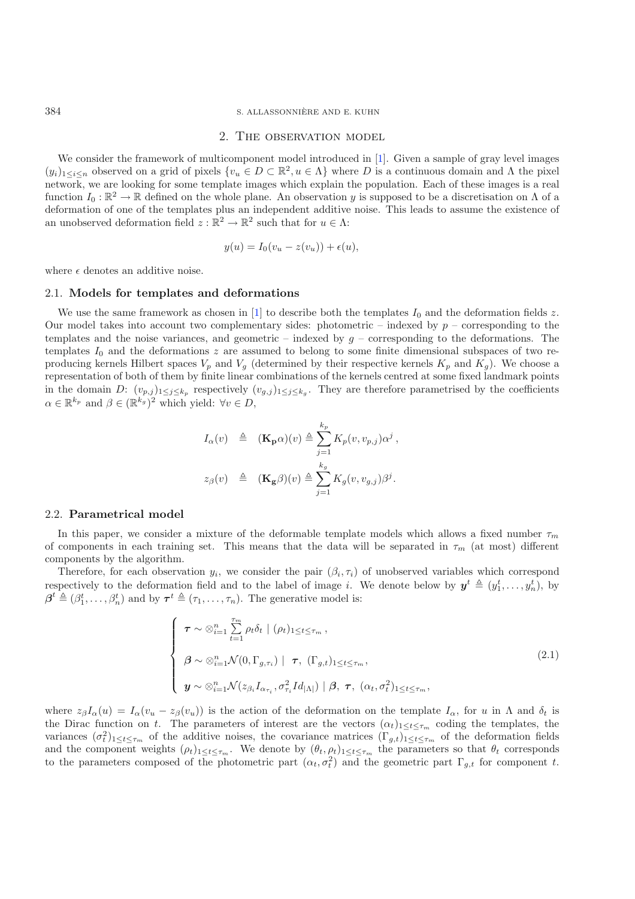## <span id="page-2-0"></span>384 S. ALLASSONNIÈRE AND E. KUHN

#### 2. The observation model

We consider the framework of multicomponent model introduced in [\[1\]](#page-25-4). Given a sample of gray level images  $(y_i)_{1\leq i\leq n}$  observed on a grid of pixels  $\{v_u \in D \subset \mathbb{R}^2, u \in \Lambda\}$  where D is a continuous domain and  $\Lambda$  the pixel network, we are looking for some template images which explain the population. Each of these images is a real function  $I_0 : \mathbb{R}^2 \to \mathbb{R}$  defined on the whole plane. An observation y is supposed to be a discretisation on  $\Lambda$  of a deformation of one of the templates plus an independent additive noise. This leads to assume the existence of an unobserved deformation field  $z : \mathbb{R}^2 \to \mathbb{R}^2$  such that for  $u \in \Lambda$ :

$$
y(u) = I_0(v_u - z(v_u)) + \epsilon(u),
$$

where  $\epsilon$  denotes an additive noise.

### 2.1. **Models for templates and deformations**

We use the same framework as chosen in [\[1](#page-25-4)] to describe both the templates  $I_0$  and the deformation fields z. Our model takes into account two complementary sides: photometric – indexed by  $p$  – corresponding to the templates and the noise variances, and geometric – indexed by  $g$  – corresponding to the deformations. The templates  $I_0$  and the deformations z are assumed to belong to some finite dimensional subspaces of two reproducing kernels Hilbert spaces  $V_p$  and  $V_g$  (determined by their respective kernels  $K_p$  and  $K_g$ ). We choose a representation of both of them by finite linear combinations of the kernels centred at some fixed landmark points in the domain  $D: (v_{p,j})_{1\leq j\leq k_p}$  respectively  $(v_{g,j})_{1\leq j\leq k_g}$ . They are therefore parametrised by the coefficients  $\alpha \in \mathbb{R}^{k_p}$  and  $\beta \in (\mathbb{R}^{k_g})^2$  which yield:  $\forall v \in D$ ,

$$
I_{\alpha}(v) \triangleq (\mathbf{K}_{\mathbf{p}}\alpha)(v) \triangleq \sum_{j=1}^{k_{p}} K_{p}(v, v_{p,j})\alpha^{j},
$$
  

$$
z_{\beta}(v) \triangleq (\mathbf{K}_{\mathbf{g}}\beta)(v) \triangleq \sum_{j=1}^{k_{g}} K_{g}(v, v_{g,j})\beta^{j}.
$$

#### <span id="page-2-2"></span><span id="page-2-1"></span>2.2. **Parametrical model**

In this paper, we consider a mixture of the deformable template models which allows a fixed number  $\tau_m$ of components in each training set. This means that the data will be separated in  $\tau_m$  (at most) different components by the algorithm.

Therefore, for each observation  $y_i$ , we consider the pair  $(\beta_i, \tau_i)$  of unobserved variables which correspond respectively to the deformation field and to the label of image *i*. We denote below by  $y^t \triangleq (y_1^t, \ldots, y_n^t)$ , by  $g^t \triangleq (g^t, \ldots, g^t)$  and by  $\tau^t \triangleq (\tau, \tau)$ . The generative model is:  $\beta^t \triangleq (\beta_1^t, \ldots, \beta_n^t)$  and by  $\tau^t \triangleq (\tau_1, \ldots, \tau_n)$ . The generative model is:

$$
\begin{cases}\n\boldsymbol{\tau} \sim \otimes_{i=1}^{n} \sum_{t=1}^{\tau_{m}} \rho_{t} \delta_{t} \mid (\rho_{t})_{1 \leq t \leq \tau_{m}}, \\
\boldsymbol{\beta} \sim \otimes_{i=1}^{n} \mathcal{N}(0, \Gamma_{g,\tau_{i}}) \mid \boldsymbol{\tau}, (\Gamma_{g,t})_{1 \leq t \leq \tau_{m}}, \\
\boldsymbol{y} \sim \otimes_{i=1}^{n} \mathcal{N}(z_{\beta_{i}} I_{\alpha_{\tau_{i}}}, \sigma_{\tau_{i}}^{2} I d_{|\Lambda|}) \mid \boldsymbol{\beta}, \boldsymbol{\tau}, (\alpha_{t}, \sigma_{t}^{2})_{1 \leq t \leq \tau_{m}},\n\end{cases}
$$
\n(2.1)

where  $z_{\beta}I_{\alpha}(u) = I_{\alpha}(v_u - z_{\beta}(v_u))$  is the action of the deformation on the template  $I_{\alpha}$ , for u in  $\Lambda$  and  $\delta_t$  is<br>the Dives function on the parameters of interest are the vectors  $(\alpha)$  and ing the templates the the Dirac function on t. The parameters of interest are the vectors  $(\alpha_t)_{1\leq t\leq \tau_m}$  coding the templates, the variances  $(\sigma_t^2)_{1 \le t \le \tau_m}$  of the additive noises, the covariance matrices  $(\Gamma_{g,t})_{1 \le t \le \tau_m}$  of the deformation fields and the component weights  $(\rho_t)_{1 \leq t \leq \tau_m}$ . We denote by  $(\theta_t, \rho_t)_{1 \leq t \leq \tau_m}$  the parameters so that  $\theta_t$  corresponds to the parameters composed of the photometric part  $(\alpha_t, \sigma_t^2)$  and the geometric part  $\Gamma_{g,t}$  for component t.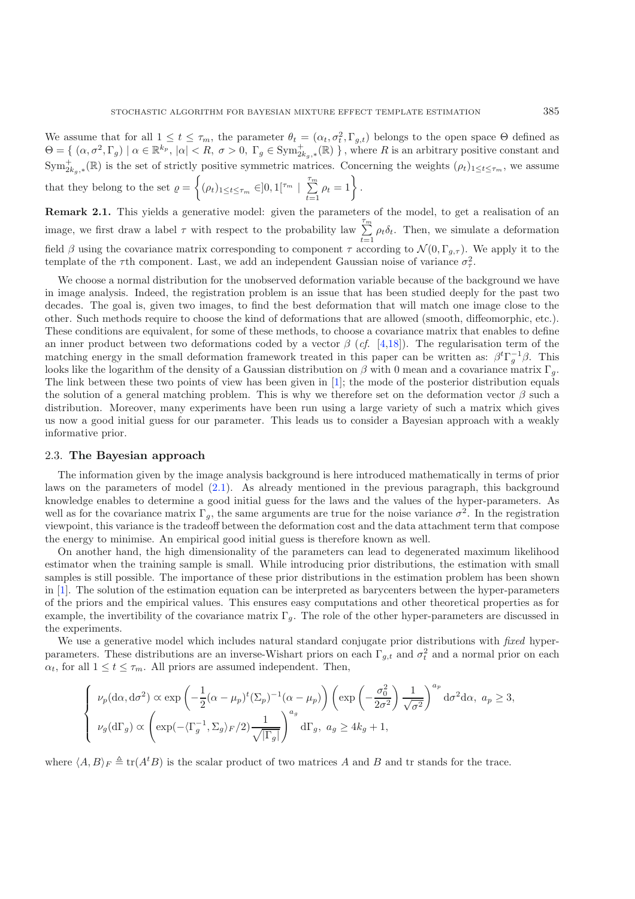We assume that for all  $1 \le t \le \tau_m$ , the parameter  $\theta_t = (\alpha_t, \sigma_t^2, \Gamma_{g,t})$  belongs to the open space  $\Theta$  defined as  $\Theta = \{ (\alpha, \sigma_t^2, \Gamma_t) | \alpha \in \mathbb{R}^{k_n} | \alpha \in \mathbb{R} \mid \sigma_t \le \theta \le \tau \}$  $\Theta = \{ (\alpha, \sigma^2, \Gamma_g) \mid \alpha \in \mathbb{R}^{k_p}, |\alpha| < R, \sigma > 0, \Gamma_g \in \text{Sym}^+_{2k_g, *}(\mathbb{R}) \}$ , where R is an arbitrary positive constant and  $Sym_{2k_g,*}^+(\mathbb{R})$  is the set of strictly positive symmetric matrices. Concerning the weights  $(\rho_t)_{1 \leq t \leq \tau_m}$ , we assume

that they belong to the set  $\varrho = \left\{ (\rho_t)_{1 \le t \le \tau_m} \in ]0,1[^{\tau_m} \mid \sum_{t=1}^{\tau_m} \rho_t = 1 \right\}.$ 

**Remark 2.1.** This yields a generative model: given the parameters of the model, to get a realisation of an image, we first draw a label  $\tau$  with respect to the probability law  $\sum_{n=1}^{n}$  $\sum_{t=1} \rho_t \delta_t$ . Then, we simulate a deformation<br>coording to  $\Lambda$ (0 F) We apply it to the field β using the covariance matrix corresponding to component  $\tau$  according to  $\mathcal{N}(0, \Gamma_{g,\tau})$ . We apply it to the template of the  $\tau$ th component. Last, we add an independent Gaussian noise of variance  $\sigma_{\tau}^2$ .

We choose a normal distribution for the unobserved deformation variable because of the background we have in image analysis. Indeed, the registration problem is an issue that has been studied deeply for the past two decades. The goal is, given two images, to find the best deformation that will match one image close to the other. Such methods require to choose the kind of deformations that are allowed (smooth, diffeomorphic, etc.). These conditions are equivalent, for some of these methods, to choose a covariance matrix that enables to define an inner product between two deformations coded by a vector  $\beta$  (*cf.* [\[4](#page-25-8)[,18\]](#page-26-2)). The regularisation term of the matching energy in the small deformation framework treated in this paper can be written as:  $\beta^t \Gamma_g^{-1} \beta$ . This looks like the logarithm of the density of a Gaussian distribution on  $\beta$  with 0 mean and a covariance matrix  $\Gamma_q$ . The link between these two points of view has been given in [\[1](#page-25-4)]; the mode of the posterior distribution equals the solution of a general matching problem. This is why we therefore set on the deformation vector  $\beta$  such a distribution. Moreover, many experiments have been run using a large variety of such a matrix which gives us now a good initial guess for our parameter. This leads us to consider a Bayesian approach with a weakly informative prior.

#### <span id="page-3-0"></span>2.3. **The Bayesian approach**

The information given by the image analysis background is here introduced mathematically in terms of prior laws on the parameters of model [\(2.1\)](#page-2-1). As already mentioned in the previous paragraph, this background knowledge enables to determine a good initial guess for the laws and the values of the hyper-parameters. As well as for the covariance matrix  $\Gamma_g$ , the same arguments are true for the noise variance  $\sigma^2$ . In the registration viewpoint, this variance is the tradeoff between the deformation cost and the data attachment term that compose the energy to minimise. An empirical good initial guess is therefore known as well.

On another hand, the high dimensionality of the parameters can lead to degenerated maximum likelihood estimator when the training sample is small. While introducing prior distributions, the estimation with small samples is still possible. The importance of these prior distributions in the estimation problem has been shown in [\[1](#page-25-4)]. The solution of the estimation equation can be interpreted as barycenters between the hyper-parameters of the priors and the empirical values. This ensures easy computations and other theoretical properties as for example, the invertibility of the covariance matrix  $\Gamma_q$ . The role of the other hyper-parameters are discussed in the experiments.

We use a generative model which includes natural standard conjugate prior distributions with *fixed* hyperparameters. These distributions are an inverse-Wishart priors on each  $\Gamma_{g,t}$  and  $\sigma_t^2$  and a normal prior on each  $\alpha_t$  for all  $1 \le t \le \tau$ . All priors are assumed independent. Then  $\alpha_t$ , for all  $1 \leq t \leq \tau_m$ . All priors are assumed independent. Then,

$$
\begin{cases}\n\nu_p(\mathrm{d}\alpha, \mathrm{d}\sigma^2) \propto \exp\left(-\frac{1}{2}(\alpha - \mu_p)^t (\Sigma_p)^{-1}(\alpha - \mu_p)\right) \left(\exp\left(-\frac{\sigma_0^2}{2\sigma^2}\right) \frac{1}{\sqrt{\sigma^2}}\right)^{a_p} \mathrm{d}\sigma^2 \mathrm{d}\alpha, \ a_p \ge 3, \\
\nu_g(\mathrm{d}\Gamma_g) \propto \left(\exp(-\langle \Gamma_g^{-1}, \Sigma_g \rangle_F/2) \frac{1}{\sqrt{|\Gamma_g|}}\right)^{a_g} \mathrm{d}\Gamma_g, \ a_g \ge 4k_g + 1,\n\end{cases}
$$

where  $\langle A, B \rangle_F \triangleq \text{tr}(A^t B)$  is the scalar product of two matrices A and B and tr stands for the trace.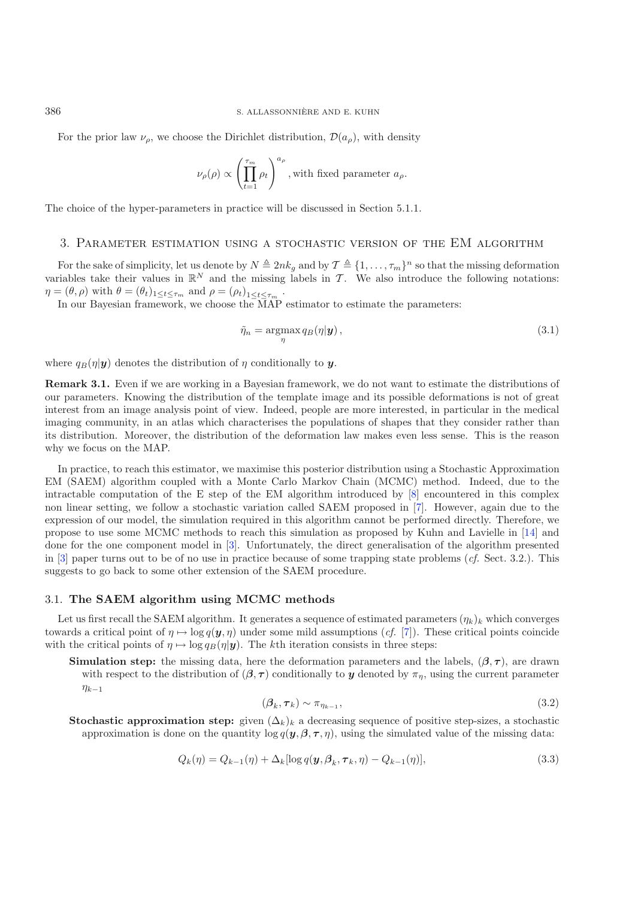## 386 S. ALLASSONNIÈRE AND E. KUHN

For the prior law  $\nu_{\rho}$ , we choose the Dirichlet distribution,  $\mathcal{D}(a_{\rho})$ , with density

$$
\nu_{\rho}(\rho) \propto \left(\prod_{t=1}^{\tau_m} \rho_t\right)^{a_{\rho}},
$$
 with fixed parameter  $a_{\rho}$ .

<span id="page-4-0"></span>The choice of the hyper-parameters in practice will be discussed in Section 5.1.1.

## 3. Parameter estimation using a stochastic version of the EM algorithm

For the sake of simplicity, let us denote by  $N \triangleq 2nk_g$  and by  $\mathcal{T} \triangleq \{1,\ldots,\tau_m\}^n$  so that the missing deformation variables take their values in  $\mathbb{R}^N$  and the missing labels in T. We also introduce the following notations:  $\eta = (\theta, \rho)$  with  $\theta = (\theta_t)_{1 \le t \le \tau_m}$  and  $\rho = (\rho_t)_{1 \le t \le \tau_m}$ .<br>In our Bayesian framework, we choose the MAP estimator to estimate the parameters:

$$
\tilde{\eta}_n = \operatorname*{argmax}_{\eta} q_B(\eta | \mathbf{y}), \qquad (3.1)
$$

where  $q_B(\eta|\mathbf{y})$  denotes the distribution of  $\eta$  conditionally to *y*.

**Remark 3.1.** Even if we are working in a Bayesian framework, we do not want to estimate the distributions of our parameters. Knowing the distribution of the template image and its possible deformations is not of great interest from an image analysis point of view. Indeed, people are more interested, in particular in the medical imaging community, in an atlas which characterises the populations of shapes that they consider rather than its distribution. Moreover, the distribution of the deformation law makes even less sense. This is the reason why we focus on the MAP.

In practice, to reach this estimator, we maximise this posterior distribution using a Stochastic Approximation EM (SAEM) algorithm coupled with a Monte Carlo Markov Chain (MCMC) method. Indeed, due to the intractable computation of the E step of the EM algorithm introduced by [\[8](#page-25-9)] encountered in this complex non linear setting, we follow a stochastic variation called SAEM proposed in [\[7\]](#page-25-6). However, again due to the expression of our model, the simulation required in this algorithm cannot be performed directly. Therefore, we propose to use some MCMC methods to reach this simulation as proposed by Kuhn and Lavielle in [\[14](#page-26-1)] and done for the one component model in [\[3](#page-25-5)]. Unfortunately, the direct generalisation of the algorithm presented in [\[3](#page-25-5)] paper turns out to be of no use in practice because of some trapping state problems (*cf.* Sect. 3.2.). This suggests to go back to some other extension of the SAEM procedure.

## <span id="page-4-2"></span><span id="page-4-1"></span>3.1. **The SAEM algorithm using MCMC methods**

Let us first recall the SAEM algorithm. It generates a sequence of estimated parameters  $(\eta_k)_k$  which converges towards a critical point of  $\eta \mapsto \log q(\mathbf{y}, \eta)$  under some mild assumptions  $(cf. [7])$  $(cf. [7])$  $(cf. [7])$ . These critical points coincide with the critical points of  $\eta \mapsto \log q_B(\eta|\mathbf{y})$ . The kth iteration consists in three steps:

**Simulation step:** the missing data, here the deformation parameters and the labels,  $(\beta, \tau)$ , are drawn with respect to the distribution of  $(\beta, \tau)$  conditionally to *y* denoted by  $\pi_n$ , using the current parameter  $\eta_{k-1}$ 

$$
(\beta_k, \tau_k) \sim \pi_{\eta_{k-1}},\tag{3.2}
$$

**Stochastic approximation step:** given  $(\Delta_k)_k$  a decreasing sequence of positive step-sizes, a stochastic approximation is done on the quantity  $\log q(\mathbf{y}, \beta, \tau, \eta)$ , using the simulated value of the missing data:

$$
Q_k(\eta) = Q_{k-1}(\eta) + \Delta_k[\log q(\boldsymbol{y}, \boldsymbol{\beta}_k, \boldsymbol{\tau}_k, \eta) - Q_{k-1}(\eta)],
$$
\n(3.3)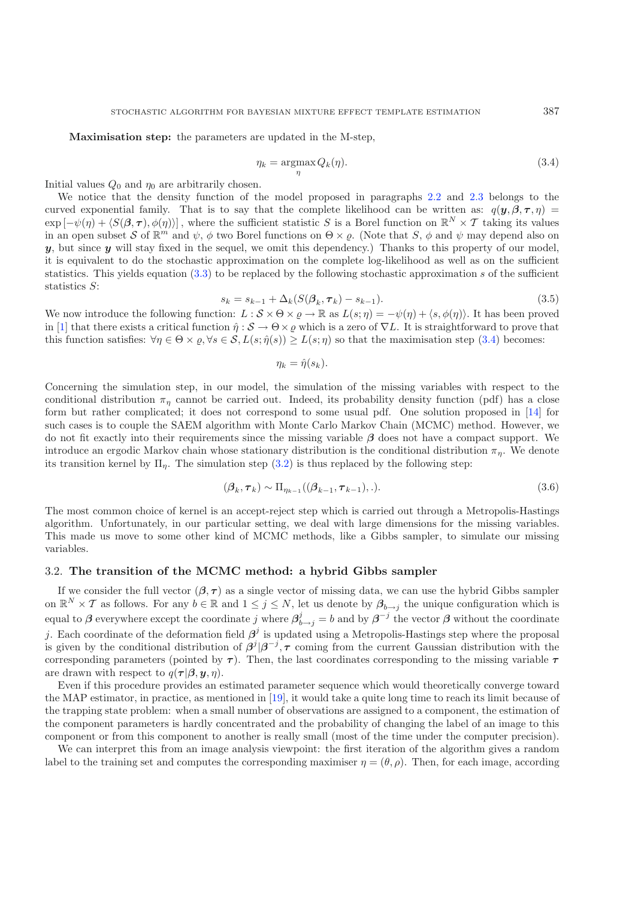#### <span id="page-5-0"></span>**Maximisation step:** the parameters are updated in the M-step,

$$
\eta_k = \underset{\eta}{\operatorname{argmax}} \, Q_k(\eta). \tag{3.4}
$$

Initial values  $Q_0$  and  $\eta_0$  are arbitrarily chosen.

We notice that the density function of the model proposed in paragraphs [2.2](#page-2-2) and [2.3](#page-3-0) belongs to the curved exponential family. That is to say that the complete likelihood can be written as:  $q(\mathbf{y}, \beta, \tau, \eta)$  =  $\exp[-\psi(\eta) + \langle S(\beta, \tau), \phi(\eta) \rangle]$ , where the sufficient statistic S is a Borel function on  $\mathbb{R}^N \times \mathcal{T}$  taking its values in an open subset S of  $\mathbb{R}^m$  and  $\psi$ ,  $\phi$  two Borel functions on  $\Theta \times \varrho$ . (Note that S,  $\phi$  and  $\psi$  may depend also on *y*, but since *y* will stay fixed in the sequel, we omit this dependency.) Thanks to this property of our model, it is equivalent to do the stochastic approximation on the complete log-likelihood as well as on the sufficient statistics. This yields equation  $(3.3)$  to be replaced by the following stochastic approximation s of the sufficient statistics S:

$$
s_k = s_{k-1} + \Delta_k (S(\beta_k, \tau_k) - s_{k-1}).
$$
\n(3.5)

 $s_k = s_{k-1} + \Delta_k(S(\beta_k, \tau_k) - s_{k-1}).$  (3.5)<br>We now introduce the following function:  $L : S \times \Theta \times \varrho \to \mathbb{R}$  as  $L(s; \eta) = -\psi(\eta) + \langle s, \phi(\eta) \rangle$ . It has been proved in [\[1\]](#page-25-4) that there exists a critical function  $\hat{\eta}: \mathcal{S} \to \Theta \times \varrho$  which is a zero of  $\nabla L$ . It is straightforward to prove that this function satisfies:  $\forall \eta \in \Theta \times \varrho, \forall s \in \mathcal{S}, L(s; \hat{\eta}(s)) \geq L(s; \eta)$  so that the maximisation step [\(3.4\)](#page-5-0) becomes:

$$
\eta_k = \hat{\eta}(s_k).
$$

Concerning the simulation step, in our model, the simulation of the missing variables with respect to the conditional distribution  $\pi_n$  cannot be carried out. Indeed, its probability density function (pdf) has a close form but rather complicated; it does not correspond to some usual pdf. One solution proposed in [\[14\]](#page-26-1) for such cases is to couple the SAEM algorithm with Monte Carlo Markov Chain (MCMC) method. However, we do not fit exactly into their requirements since the missing variable *β* does not have a compact support. We introduce an ergodic Markov chain whose stationary distribution is the conditional distribution  $\pi_n$ . We denote its transition kernel by  $\Pi_n$ . The simulation step [\(3.2\)](#page-4-2) is thus replaced by the following step:

$$
(\boldsymbol{\beta}_k, \boldsymbol{\tau}_k) \sim \Pi_{\eta_{k-1}}((\boldsymbol{\beta}_{k-1}, \boldsymbol{\tau}_{k-1}), \ldots). \tag{3.6}
$$

The most common choice of kernel is an accept-reject step which is carried out through a Metropolis-Hastings algorithm. Unfortunately, in our particular setting, we deal with large dimensions for the missing variables. This made us move to some other kind of MCMC methods, like a Gibbs sampler, to simulate our missing variables.

#### 3.2. **The transition of the MCMC method: a hybrid Gibbs sampler**

If we consider the full vector  $(\beta, \tau)$  as a single vector of missing data, we can use the hybrid Gibbs sampler on  $\mathbb{R}^N \times \mathcal{T}$  as follows. For any  $b \in \mathbb{R}$  and  $1 \leq j \leq N$ , let us denote by  $\beta_{b \to j}$  the unique configuration which is equal to  $\beta$  everywhere except the coordinate j where  $\beta_{b\to j}^j = b$  and by  $\beta^{-j}$  the vector  $\beta$  without the coordinate j. Each coordinate of the deformation field  $\beta^j$  is updated using a Metropolis-Hastings step where the proposal is given by the conditional distribution of  $\beta^j|\beta^{-j}, \tau$  coming from the current Gaussian distribution with the corresponding parameters (pointed by *τ*). Then, the last coordinates corresponding to the missing variable *τ* are drawn with respect to  $q(\tau | \beta, y, \eta)$ .

Even if this procedure provides an estimated parameter sequence which would theoretically converge toward the MAP estimator, in practice, as mentioned in [\[19\]](#page-26-3), it would take a quite long time to reach its limit because of the trapping state problem: when a small number of observations are assigned to a component, the estimation of the component parameters is hardly concentrated and the probability of changing the label of an image to this component or from this component to another is really small (most of the time under the computer precision).

We can interpret this from an image analysis viewpoint: the first iteration of the algorithm gives a random label to the training set and computes the corresponding maximiser  $\eta = (\theta, \rho)$ . Then, for each image, according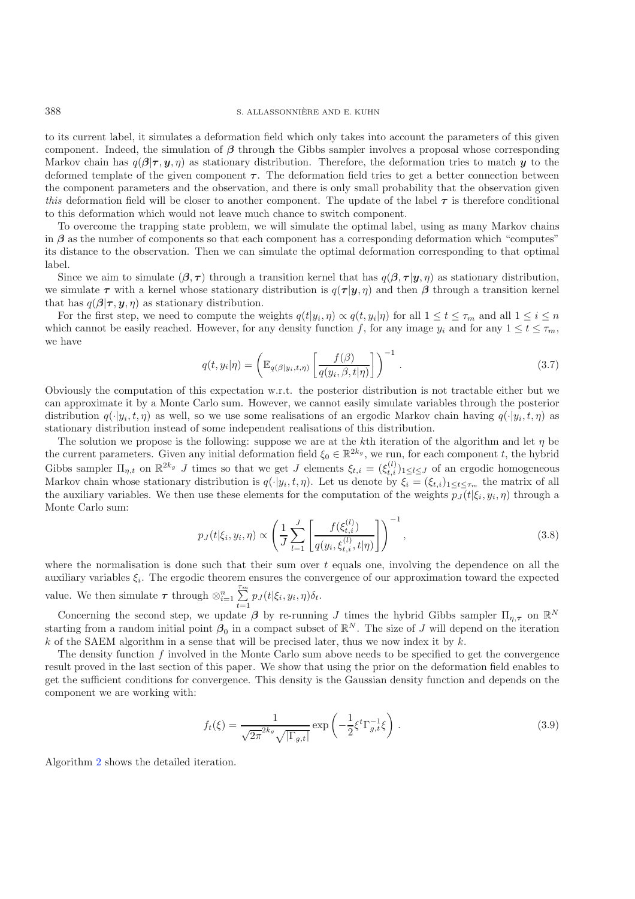## 388 S. ALLASSONNIÈRE AND E. KUHN

to its current label, it simulates a deformation field which only takes into account the parameters of this given component. Indeed, the simulation of *β* through the Gibbs sampler involves a proposal whose corresponding Markov chain has  $q(\beta|\tau, y, \eta)$  as stationary distribution. Therefore, the deformation tries to match *y* to the deformed template of the given component *τ*. The deformation field tries to get a better connection between the component parameters and the observation, and there is only small probability that the observation given *this* deformation field will be closer to another component. The update of the label *τ* is therefore conditional to this deformation which would not leave much chance to switch component.

To overcome the trapping state problem, we will simulate the optimal label, using as many Markov chains in  $\beta$  as the number of components so that each component has a corresponding deformation which "computes" its distance to the observation. Then we can simulate the optimal deformation corresponding to that optimal label.

Since we aim to simulate  $(\beta, \tau)$  through a transition kernel that has  $q(\beta, \tau | y, \eta)$  as stationary distribution, we simulate  $\tau$  with a kernel whose stationary distribution is  $q(\tau|\mathbf{y}, \eta)$  and then  $\beta$  through a transition kernel that has  $q(\beta|\tau, y, \eta)$  as stationary distribution.

For the first step, we need to compute the weights  $q(t|y_i, \eta) \propto q(t, y_i|\eta)$  for all  $1 \le t \le \tau_m$  and all  $1 \le i \le n$ which cannot be easily reached. However, for any density function f, for any image  $y_i$  and for any  $1 \le t \le \tau_m$ , we have

$$
q(t, y_i | \eta) = \left( \mathbb{E}_{q(\beta | y_i, t, \eta)} \left[ \frac{f(\beta)}{q(y_i, \beta, t | \eta)} \right] \right)^{-1} . \tag{3.7}
$$

Obviously the computation of this expectation w.r.t. the posterior distribution is not tractable either but we can approximate it by a Monte Carlo sum. However, we cannot easily simulate variables through the posterior distribution  $q(\cdot|y_i, t, \eta)$  as well, so we use some realisations of an ergodic Markov chain having  $q(\cdot|y_i, t, \eta)$  as stationary distribution instead of some independent realisations of this distribution.

The solution we propose is the following: suppose we are at the kth iteration of the algorithm and let  $\eta$  be the current parameters. Given any initial deformation field  $\xi_0 \in \mathbb{R}^{2k_g}$ , we run, for each component t, the hybrid Gibbs sampler  $\Pi_{\eta,t}$  on  $\mathbb{R}^{2k_g}$  J times so that we get J elements  $\xi_{t,i} = (\xi_{t,i}^{(l)})_{1\leq l\leq J}$  of an ergodic homogeneous<br>Markov chain whose stationary distribution is  $g(\vert u, t, n)$ . Let us denote by  $\xi = (\xi, t)$  is Markov chain whose stationary distribution is  $q(\cdot|y_i, t, \eta)$ . Let us denote by  $\xi_i = (\xi_{t,i})_{1 \leq t \leq \tau_m}$  the matrix of all the auxiliary variables. We then use these elements for the computation of the weights  $p_J(t|\xi_i, y_i, \eta)$  through a Monte Carlo sum:

$$
p_J(t|\xi_i, y_i, \eta) \propto \left(\frac{1}{J} \sum_{l=1}^J \left[ \frac{f(\xi_{t,i}^{(l)})}{q(y_i, \xi_{t,i}^{(l)}, t|\eta)} \right] \right)^{-1}, \tag{3.8}
$$

where the normalisation is done such that their sum over  $t$  equals one, involving the dependence on all the auxiliary variables  $\xi_i$ . The ergodic theorem ensures the convergence of our approximation toward the expected value. We then simulate  $\tau$  through  $\otimes_{i=1}^n \sum_{t=1}^m$  $\sum_{t=1} p_j(t|\xi_i, y_i, \eta) \delta_t.$ 

Concerning the second step, we update  $\beta$  by re-running J times the hybrid Gibbs sampler  $\Pi_{\eta,\tau}$  on  $\mathbb{R}^N$ <br>starting from a random initial point  $\beta_0$  in a compact subset of  $\mathbb{R}^N$ . The size of J will depend o k of the SAEM algorithm in a sense that will be precised later, thus we now index it by  $k$ .

The density function f involved in the Monte Carlo sum above needs to be specified to get the convergence result proved in the last section of this paper. We show that using the prior on the deformation field enables to get the sufficient conditions for convergence. This density is the Gaussian density function and depends on the component we are working with:

$$
f_t(\xi) = \frac{1}{\sqrt{2\pi}^{2k_g} \sqrt{|\Gamma_{g,t}|}} \exp\left(-\frac{1}{2}\xi^t \Gamma_{g,t}^{-1} \xi\right). \tag{3.9}
$$

Algorithm [2](#page-8-0) shows the detailed iteration.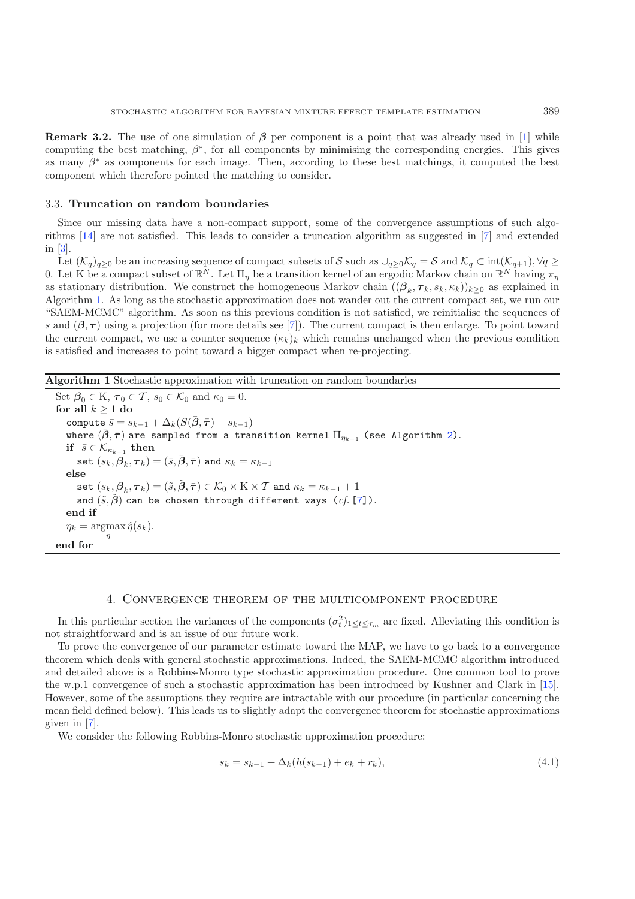**Remark 3.2.** The use of one simulation of *β* per component is a point that was already used in [\[1](#page-25-4)] while computing the best matching,  $\beta^*$ , for all components by minimising the corresponding energies. This gives as many  $\beta^*$  as components for each image. Then, according to these best matchings, it computed the best component which therefore pointed the matching to consider.

## 3.3. **Truncation on random boundaries**

Since our missing data have a non-compact support, some of the convergence assumptions of such algorithms [\[14](#page-26-1)] are not satisfied. This leads to consider a truncation algorithm as suggested in [\[7](#page-25-6)] and extended in [\[3\]](#page-25-5).

Let  $(\mathcal{K}_q)_{q\geq0}$  be an increasing sequence of compact subsets of S such as  $\cup_{q\geq0}\mathcal{K}_q=\mathcal{S}$  and  $\mathcal{K}_q\subset\text{int}(\mathcal{K}_{q+1}),\forall q\geq0$ 0. Let K be a compact subset of  $\mathbb{R}^N$ . Let  $\Pi_n$  be a transition kernel of an ergodic Markov chain on  $\mathbb{R}^N$  having  $\pi_n$ as stationary distribution. We construct the homogeneous Markov chain  $((\beta_k, \tau_k, s_k, \kappa_k))_{k>0}$  as explained in Algorithm [1.](#page-7-1) As long as the stochastic approximation does not wander out the current compact set, we run our "SAEM-MCMC" algorithm. As soon as this previous condition is not satisfied, we reinitialise the sequences of s and  $(\beta, \tau)$  using a projection (for more details see [\[7](#page-25-6)]). The current compact is then enlarge. To point toward the current compact, we use a counter sequence  $(\kappa_k)_k$  which remains unchanged when the previous condition is satisfied and increases to point toward a bigger compact when re-projecting.

<span id="page-7-1"></span>**Algorithm 1** Stochastic approximation with truncation on random boundaries

Set  $\beta_0 \in K$ ,  $\tau_0 \in \mathcal{T}$ ,  $s_0 \in \mathcal{K}_0$  and  $\kappa_0 = 0$ . **for all**  $k \geq 1$  **do**  $\texttt{compute}_{\_}\bar{s}=s_{k-1}+\Delta_k(S(\bar{\boldsymbol{\beta}},\bar{\boldsymbol{\tau}})-s_{k-1})$ where  $(\bar{\boldsymbol{\beta}},\bar{\boldsymbol{\tau}})$  are sampled from a transition kernel  $\Pi_{\eta_{k-1}}$  (see Algorithm [2\)](#page-8-0). **if**  $\bar{s} \in \mathcal{K}_{\kappa_{k-1}}$  **then** set  $(s_k, \beta_k, \tau_k) = (\bar{s}, \bar{\beta}, \bar{\tau})$  and  $\kappa_k = \kappa_{k-1}$ **else** set  $(s_k, \beta_k, \tau_k) = (\tilde{s}, \tilde{\beta}, \bar{\tau}) \in \mathcal{K}_0 \times K \times T$  and  $\kappa_k = \kappa_{k-1} + 1$ and  $(\tilde{s}, \tilde{\boldsymbol{\beta}})$  can be chosen through different ways  $(cf, [7])$  $(cf, [7])$  $(cf, [7])$ . **end if**  $\eta_k = \operatorname*{argmax}_{\eta} \hat{\eta}(s_k).$ η **end for**

#### <span id="page-7-2"></span>4. Convergence theorem of the multicomponent procedure

<span id="page-7-0"></span>In this particular section the variances of the components  $(\sigma_t^2)_{1 \le t \le \tau_m}$  are fixed. Alleviating this condition is not straightforward and is an issue of our future work.

To prove the convergence of our parameter estimate toward the MAP, we have to go back to a convergence theorem which deals with general stochastic approximations. Indeed, the SAEM-MCMC algorithm introduced and detailed above is a Robbins-Monro type stochastic approximation procedure. One common tool to prove the w.p.1 convergence of such a stochastic approximation has been introduced by Kushner and Clark in [\[15\]](#page-26-4). However, some of the assumptions they require are intractable with our procedure (in particular concerning the mean field defined below). This leads us to slightly adapt the convergence theorem for stochastic approximations given in [\[7\]](#page-25-6).

We consider the following Robbins-Monro stochastic approximation procedure:

$$
s_k = s_{k-1} + \Delta_k(h(s_{k-1}) + e_k + r_k),
$$
\n(4.1)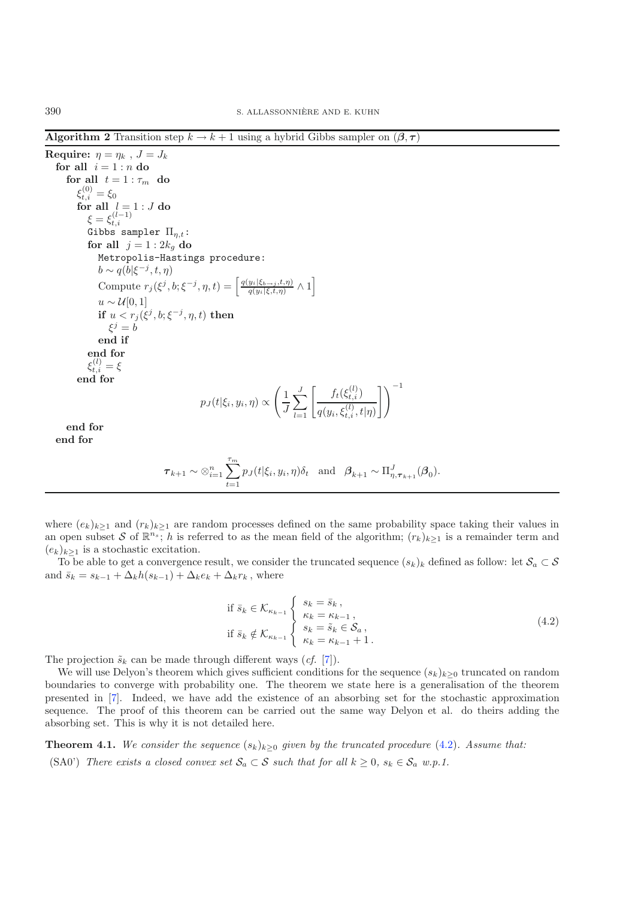<span id="page-8-0"></span>**Algorithm 2** Transition step  $k \to k+1$  using a hybrid Gibbs sampler on  $(\beta, \tau)$ 

**Require:**  $\eta = \eta_k$ ,  $J = J_k$ **for all**  $i = 1:n$  **do for all**  $t = 1 : \tau_m$  **do**  $\xi_{t,i}^{(0)} = \xi_0$ <br>for all  $f$  **or**  $all$   $l = 1: J$  **do**  $\xi = \xi_{t,i}^{(l-1)}$ Gibbs sampler  $\Pi_{\eta,t}$ :<br>for all in  $1, 2k$  de **for all**  $j = 1:2k_g$  **do** Metropolis-Hastings procedure:  $b \sim q(b|\xi^{-j}, t, \eta)$ Compute  $r_j(\xi^j, b; \xi^{-j}, \eta, t) = \left[ \frac{q(y_i|\xi_{b\to j}, t, \eta)}{q(y_i|\xi, t, \eta)} \wedge 1 \right]$  $u \sim \mathcal{U}[0,1]$ **if**  $u < r_j(\xi^j, b; \xi^{-j}, \eta, t)$  **then**  $\xi^j = b$ **end if end for**  $\xi_{t,i}^{(l)} = \xi$ **end for**  $\sqrt{2}$ 1  $\sum$ J  $\binom{l}{t}$ 

$$
p_J(t|\xi_i, y_i, \eta) \propto \left(\frac{1}{J} \sum_{l=1}^J \left[ \frac{f_t(\xi_{t,i}^{(l)})}{q(y_i, \xi_{t,i}^{(l)}, t | \eta)} \right] \right)
$$

**end for end for**

<span id="page-8-1"></span>
$$
\boldsymbol{\tau}_{k+1} \sim \otimes_{i=1}^n \sum_{t=1}^{\tau_m} p_J(t | \xi_i, y_i, \eta) \delta_t
$$
 and  $\boldsymbol{\beta}_{k+1} \sim \Pi_{\eta, \boldsymbol{\tau}_{k+1}}^J(\boldsymbol{\beta}_0).$ 

where  $(e_k)_{k\geq 1}$  and  $(r_k)_{k\geq 1}$  are random processes defined on the same probability space taking their values in an open subset S of  $\mathbb{R}^{n_s}$ ; h is referred to as the mean field of the algorithm;  $(r_k)_{k\geq 1}$  is a remainder term and  $(e_k)_{k\geq 1}$  is a stochastic excitation.

To be able to get a convergence result, we consider the truncated sequence  $(s_k)_k$  defined as follow: let  $S_a \subset S$ and  $\bar{s}_k = s_{k-1} + \Delta_k h(s_{k-1}) + \Delta_k e_k + \Delta_k r_k$ , where

$$
\text{if } \bar{s}_k \in \mathcal{K}_{\kappa_{k-1}} \left\{ \begin{array}{l} s_k = \bar{s}_k \,, \\ \kappa_k = \kappa_{k-1} \,, \\ s_k = \tilde{s}_k \in \mathcal{S}_a \,, \\ \kappa_k = \kappa_{k-1} + 1 \,. \end{array} \right.\n\tag{4.2}
$$

 $-1$ 

The projection  $\tilde{s}_k$  can be made through different ways  $(cf. [7])$  $(cf. [7])$  $(cf. [7])$ .

We will use Delyon's theorem which gives sufficient conditions for the sequence  $(s_k)_{k>0}$  truncated on random boundaries to converge with probability one. The theorem we state here is a generalisation of the theorem presented in [\[7](#page-25-6)]. Indeed, we have add the existence of an absorbing set for the stochastic approximation sequence. The proof of this theorem can be carried out the same way Delyon et al. do theirs adding the absorbing set. This is why it is not detailed here.

<span id="page-8-2"></span>**Theorem 4.1.** *We consider the sequence*  $(s_k)_{k>0}$  *given by the truncated procedure* [\(4.2\)](#page-8-1)*. Assume that:* (SA0') *There exists a closed convex set*  $\mathcal{S}_a \subset \mathcal{S}$  *such that for all*  $k \geq 0$ *, s<sub>k</sub>*  $\in \mathcal{S}_a$  *w.p.1.*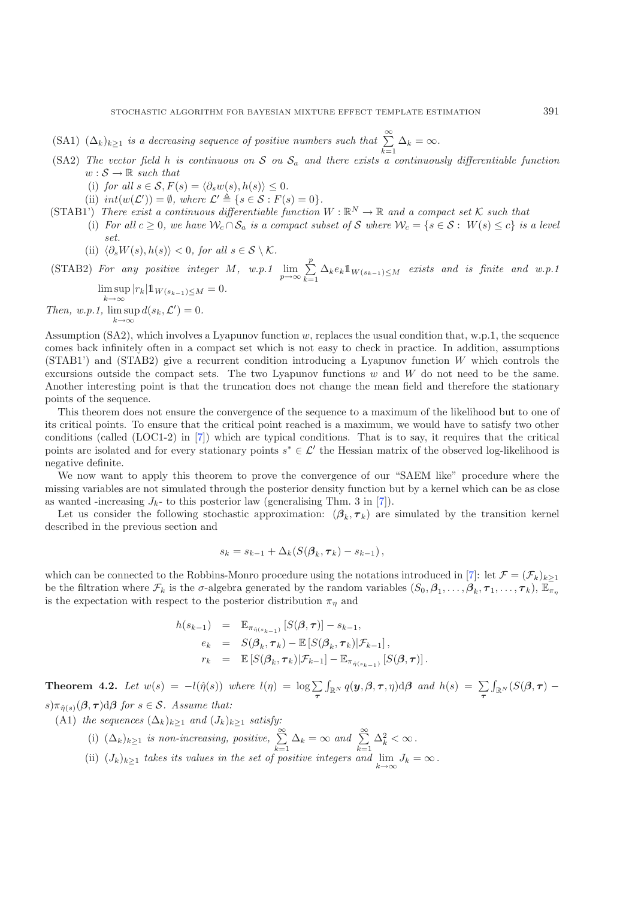- (SA1)  $(\Delta_k)_{k\geq 1}$  *is a decreasing sequence of positive numbers such that*  $\sum_{k=1}^{\infty} \Delta_k = \infty$ *.*  $\overline{k=1}$
- (SA2) The vector field h is continuous on S ou  $S_a$  and there exists a continuously differentiable function  $w : \mathcal{S} \to \mathbb{R}$  *such that* 
	- (i) *for all*  $s \in S$ ,  $F(s) = \langle \partial_s w(s), h(s) \rangle \leq 0$ .
	- (ii)  $int(w(\mathcal{L}')) = \emptyset$ , where  $\mathcal{L}' \triangleq \{s \in \mathcal{S} : F(s) = 0\}.$
- $(STAB1')$  *There exist a continuous differentiable function*  $W : \mathbb{R}^N \to \mathbb{R}$  and a compact set K such that
	- (i) For all  $c \geq 0$ , we have  $\mathcal{W}_c \cap \mathcal{S}_a$  is a compact subset of S where  $\mathcal{W}_c = \{s \in \mathcal{S} : W(s) \leq c\}$  is a level *set.*
	- (ii)  $\langle \partial_s W(s), h(s) \rangle < 0$ , for all  $s \in S \setminus \mathcal{K}$ .

(STAB2) *For any positive integer* M*, w.p.1* lim $p \rightarrow \infty$  $\sum$  $\sum_{k=1} \Delta_k e_k \mathbb{1}_{W(s_{k-1}) \leq M}$  exists and is finite and w.p.1  $\limsup_{k \to \infty} |r_k| \mathbb{1}_{W(s_{k-1}) \leq M} = 0.$ 

*Then, w.p.1,*  $\limsup_{k \to \infty} d(s_k, \mathcal{L}') = 0.$  $k\rightarrow\infty$ 

Assumption  $(SA2)$ , which involves a Lyapunov function w, replaces the usual condition that, w.p.1, the sequence comes back infinitely often in a compact set which is not easy to check in practice. In addition, assumptions (STAB1') and (STAB2) give a recurrent condition introducing a Lyapunov function W which controls the excursions outside the compact sets. The two Lyapunov functions  $w$  and  $W$  do not need to be the same. Another interesting point is that the truncation does not change the mean field and therefore the stationary points of the sequence.

This theorem does not ensure the convergence of the sequence to a maximum of the likelihood but to one of its critical points. To ensure that the critical point reached is a maximum, we would have to satisfy two other conditions (called (LOC1-2) in [\[7\]](#page-25-6)) which are typical conditions. That is to say, it requires that the critical points are isolated and for every stationary points  $s^* \in \mathcal{L}'$  the Hessian matrix of the observed log-likelihood is negative definite.

We now want to apply this theorem to prove the convergence of our "SAEM like" procedure where the missing variables are not simulated through the posterior density function but by a kernel which can be as close as wanted -increasing  $J_k$ - to this posterior law (generalising Thm. 3 in [\[7](#page-25-6)]).

Let us consider the following stochastic approximation:  $(\beta_k, \tau_k)$  are simulated by the transition kernel described in the previous section and

$$
s_k = s_{k-1} + \Delta_k(S(\boldsymbol{\beta}_k, \boldsymbol{\tau}_k) - s_{k-1}),
$$

which can be connected to the Robbins-Monro procedure using the notations introduced in [\[7](#page-25-6)]: let  $\mathcal{F} = (\mathcal{F}_k)_{k>1}$ be the filtration where  $\mathcal{F}_k$  is the  $\sigma$ -algebra generated by the random variables  $(S_0, \beta_1, \ldots, \beta_k, \tau_1, \ldots, \tau_k)$ ,  $\mathbb{E}_{\pi_n}$ is the expectation with respect to the posterior distribution  $\pi_{\eta}$  and

$$
h(s_{k-1}) = \mathbb{E}_{\pi_{\hat{\eta}(s_{k-1})}} [S(\beta, \tau)] - s_{k-1},
$$
  
\n
$$
e_k = S(\beta_k, \tau_k) - \mathbb{E} [S(\beta_k, \tau_k)|\mathcal{F}_{k-1}],
$$
  
\n
$$
r_k = \mathbb{E} [S(\beta_k, \tau_k)|\mathcal{F}_{k-1}] - \mathbb{E}_{\pi_{\hat{\eta}(s_{k-1})}} [S(\beta, \tau)].
$$

<span id="page-9-0"></span>**Theorem 4.2.** *Let*  $w(s) = -l(\hat{\eta}(s))$  *where*  $l(\eta) = \log \sum_{\tau}$  $\int_{\mathbb{R}^N} q(\mathbf{y}, \boldsymbol{\beta}, \boldsymbol{\tau}, \eta) d\boldsymbol{\beta}$  *and*  $h(s) = \sum_{\boldsymbol{\tau}}$  $\int_{\mathbb{R}^N} (S(\boldsymbol{\beta},\boldsymbol{\tau})$ s) $\pi_{\hat{n}(s)}(\beta, \tau)$ d $\beta$  *for*  $s \in \mathcal{S}$ *. Assume that:* 

(A1) *the sequences*  $(\Delta_k)_{k>1}$  *and*  $(J_k)_{k>1}$  *satisfy:* 

(i)  $(\Delta_k)_{k\geq 1}$  *is non-increasing, positive,*  $\sum_{k=1}^{\infty}$  $\sum_{k=1}^{\infty} \Delta_k = \infty$  and  $\sum_{k=1}^{\infty}$ <br>
socitive integers and  $\sum_{\alpha=1}^{k=1}$  $\Delta_k^2 < \infty$ .

(ii)  $(J_k)_{k\geq 1}$  *takes its values in the set of positive integers and*  $\lim_{k\to\infty} J_k = \infty$ .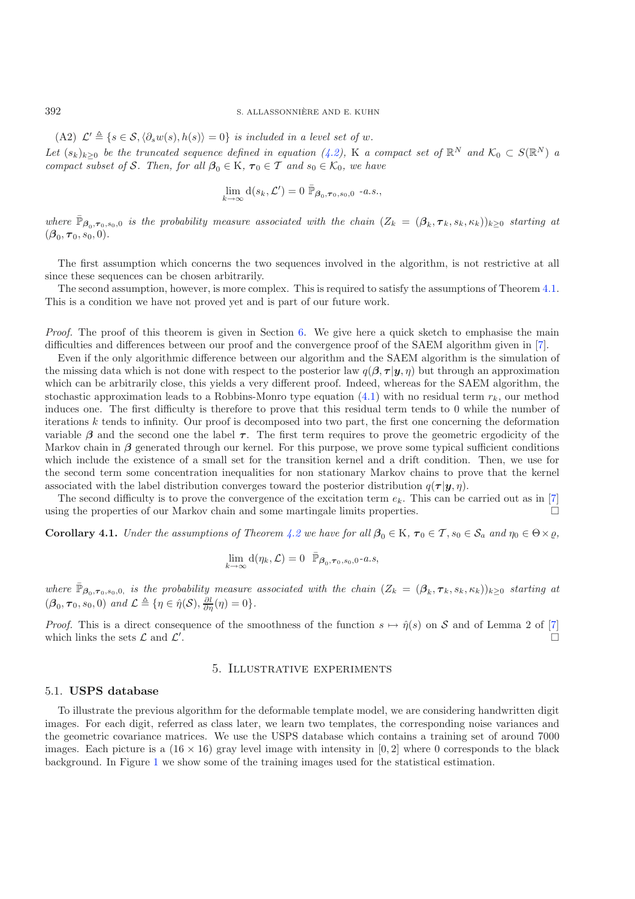(A2)  $\mathcal{L}' \triangleq \{s \in \mathcal{S}, \langle \partial_s w(s), h(s) \rangle = 0\}$  *is included in a level set of w. Let*  $(s_k)_{k>0}$  *be the truncated sequence defined in equation [\(4.2\)](#page-8-1),* K *a compact set of*  $\mathbb{R}^N$  *and*  $\mathcal{K}_0 \subset S(\mathbb{R}^N)$  *a compact subset of* S. Then, for all  $\beta_0 \in K$ ,  $\tau_0 \in T$  and  $s_0 \in K_0$ , we have

$$
\lim_{k \to \infty} d(s_k, \mathcal{L}') = 0 \ \overline{\mathbb{P}}_{\boldsymbol{\beta}_0, \boldsymbol{\tau}_0, s_0, 0} \cdot a.s.,
$$

*where*  $\mathbb{P}_{\beta_0,\tau_0,s_0,0}$  *is the probability measure associated with the chain*  $(Z_k = (\beta_k,\tau_k,s_k,\kappa_k))_{k\geq 0}$  *starting at*  $(\beta_0, \tau_0, s_0, 0)$ .

The first assumption which concerns the two sequences involved in the algorithm, is not restrictive at all since these sequences can be chosen arbitrarily.

The second assumption, however, is more complex. This is required to satisfy the assumptions of Theorem [4.1.](#page-8-2) This is a condition we have not proved yet and is part of our future work.

*Proof.* The proof of this theorem is given in Section [6.](#page-15-0) We give here a quick sketch to emphasise the main difficulties and differences between our proof and the convergence proof of the SAEM algorithm given in [\[7](#page-25-6)].

Even if the only algorithmic difference between our algorithm and the SAEM algorithm is the simulation of the missing data which is not done with respect to the posterior law  $q(\beta, \tau | y, \eta)$  but through an approximation which can be arbitrarily close, this yields a very different proof. Indeed, whereas for the SAEM algorithm, the stochastic approximation leads to a Robbins-Monro type equation  $(4.1)$  with no residual term  $r_k$ , our method induces one. The first difficulty is therefore to prove that this residual term tends to 0 while the number of iterations k tends to infinity. Our proof is decomposed into two part, the first one concerning the deformation variable  $\beta$  and the second one the label  $\tau$ . The first term requires to prove the geometric ergodicity of the Markov chain in *β* generated through our kernel. For this purpose, we prove some typical sufficient conditions which include the existence of a small set for the transition kernel and a drift condition. Then, we use for the second term some concentration inequalities for non stationary Markov chains to prove that the kernel associated with the label distribution converges toward the posterior distribution  $q(\tau | \mathbf{y}, \eta)$ .

The second difficulty is to prove the convergence of the excitation term  $e_k$ . This can be carried out as in [\[7](#page-25-6)] using the properties of our Markov chain and some martingale limits properties.

**Corollary 4.1.** *Under the assumptions of Theorem [4.2](#page-9-0) we have for all*  $\beta_0 \in K$ ,  $\tau_0 \in T$ ,  $s_0 \in S_a$  *and*  $\eta_0 \in \Theta \times \varrho$ ,

$$
\lim_{k \to \infty} d(\eta_k, \mathcal{L}) = 0 \quad \bar{\mathbb{P}}_{\boldsymbol{\beta}_0, \boldsymbol{\tau}_0, s_0, 0} \text{-} a.s,
$$

where  $\bar{\mathbb{P}}_{\beta_0, \tau_0, s_0, 0}$ , is the probability measure associated with the chain  $(Z_k = (\beta_k, \tau_k, s_k, \kappa_k))_{k \geq 0}$  starting at  $(\beta_0, \tau_0, s_0, 0)$  and  $\mathcal{L} \triangleq {\eta \in \hat{\eta}(\mathcal{S}), \frac{\partial l}{\partial \eta}(\eta) = 0}.$ 

<span id="page-10-0"></span>*Proof.* This is a direct consequence of the smoothness of the function  $s \mapsto \hat{\eta}(s)$  on S and of Lemma 2 of [\[7](#page-25-6)] which links the sets  $\mathcal L$  and  $\mathcal L'$ . .

## 5. Illustrative experiments

#### 5.1. **USPS database**

To illustrate the previous algorithm for the deformable template model, we are considering handwritten digit images. For each digit, referred as class later, we learn two templates, the corresponding noise variances and the geometric covariance matrices. We use the USPS database which contains a training set of around 7000 images. Each picture is a  $(16 \times 16)$  gray level image with intensity in [0, 2] where 0 corresponds to the black background. In Figure [1](#page-11-0) we show some of the training images used for the statistical estimation.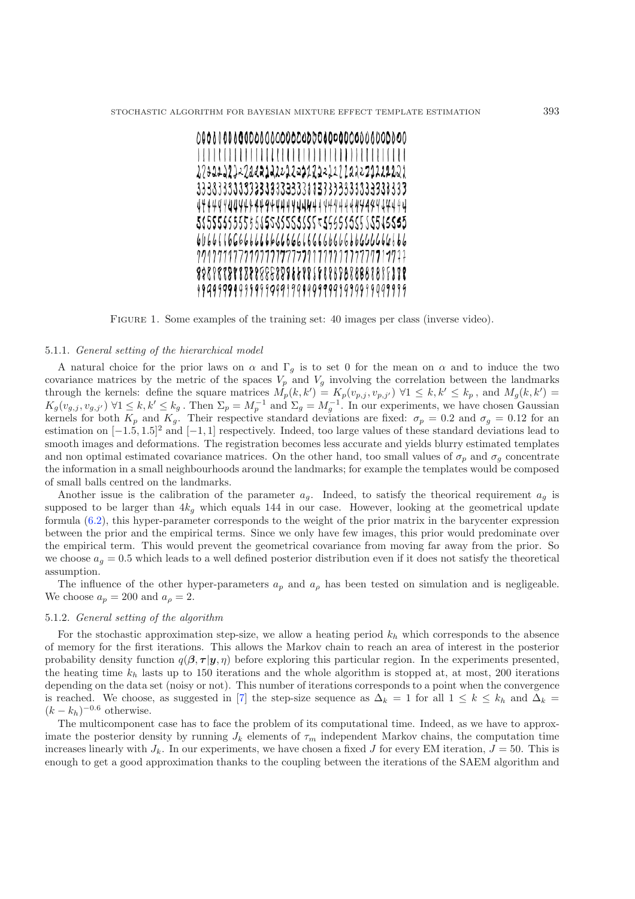

FIGURE 1. Some examples of the training set: 40 images per class (inverse video).

#### <span id="page-11-0"></span>5.1.1. *General setting of the hierarchical model*

A natural choice for the prior laws on  $\alpha$  and  $\Gamma_q$  is to set 0 for the mean on  $\alpha$  and to induce the two covariance matrices by the metric of the spaces  $V_p$  and  $V_g$  involving the correlation between the landmarks through the kernels: define the square matrices  $\tilde{M}_p(k, k') = K_p(v_{p,j}, v_{p,j'}) \; \forall 1 \leq k, k' \leq k_p$ , and  $M_g(k, k') = K_p(v_{p,j}, v_{p,j'}) \; \forall 1 \leq k, k' \leq k_p$ .  $K_g(v_{g,j}, v_{g,j'})$   $\forall 1 \leq k, k' \leq k_g$ . Then  $\Sigma_p = M_p^{-1}$  and  $\Sigma_g = M_g^{-1}$ . In our experiments, we have chosen Gaussian kernels for both  $K_p$  and  $K_g$ . Their respective standard deviations are fixed:  $\sigma_p = 0.2$  and  $\sigma_g = 0.12$  for an estimation on [15,15] and [11,1] perpetimize Indeed too large values of these standard deviations land to estimation on  $[-1.5, 1.5]^2$  and  $[-1, 1]$  respectively. Indeed, too large values of these standard deviations lead to smooth images and deformations. The registration becomes less accurate and yields blurry estimated templates and non optimal estimated covariance matrices. On the other hand, too small values of  $\sigma_p$  and  $\sigma_g$  concentrate the information in a small neighbourhoods around the landmarks; for example the templates would be composed of small balls centred on the landmarks.

Another issue is the calibration of the parameter  $a_g$ . Indeed, to satisfy the theorical requirement  $a_g$  is supposed to be larger than  $4k_g$  which equals 144 in our case. However, looking at the geometrical update formula [\(6.2\)](#page-15-1), this hyper-parameter corresponds to the weight of the prior matrix in the barycenter expression between the prior and the empirical terms. Since we only have few images, this prior would predominate over the empirical term. This would prevent the geometrical covariance from moving far away from the prior. So we choose  $a_g = 0.5$  which leads to a well defined posterior distribution even if it does not satisfy the theoretical assumption.

The influence of the other hyper-parameters  $a_p$  and  $a_\rho$  has been tested on simulation and is negligeable. We choose  $a_p = 200$  and  $a_\rho = 2$ .

## 5.1.2. *General setting of the algorithm*

For the stochastic approximation step-size, we allow a heating period  $k_h$  which corresponds to the absence of memory for the first iterations. This allows the Markov chain to reach an area of interest in the posterior probability density function  $q(\beta, \tau | y, \eta)$  before exploring this particular region. In the experiments presented, the heating time  $k_h$  lasts up to 150 iterations and the whole algorithm is stopped at, at most, 200 iterations depending on the data set (noisy or not). This number of iterations corresponds to a point when the convergence is reached. We choose, as suggested in [\[7](#page-25-6)] the step-size sequence as  $\Delta_k = 1$  for all  $1 \leq k \leq k_h$  and  $\Delta_k =$  $(k - k_h)^{-0.6}$  otherwise.

The multicomponent case has to face the problem of its computational time. Indeed, as we have to approximate the posterior density by running  $J_k$  elements of  $\tau_m$  independent Markov chains, the computation time increases linearly with  $J_k$ . In our experiments, we have chosen a fixed J for every EM iteration,  $J = 50$ . This is enough to get a good approximation thanks to the coupling between the iterations of the SAEM algorithm and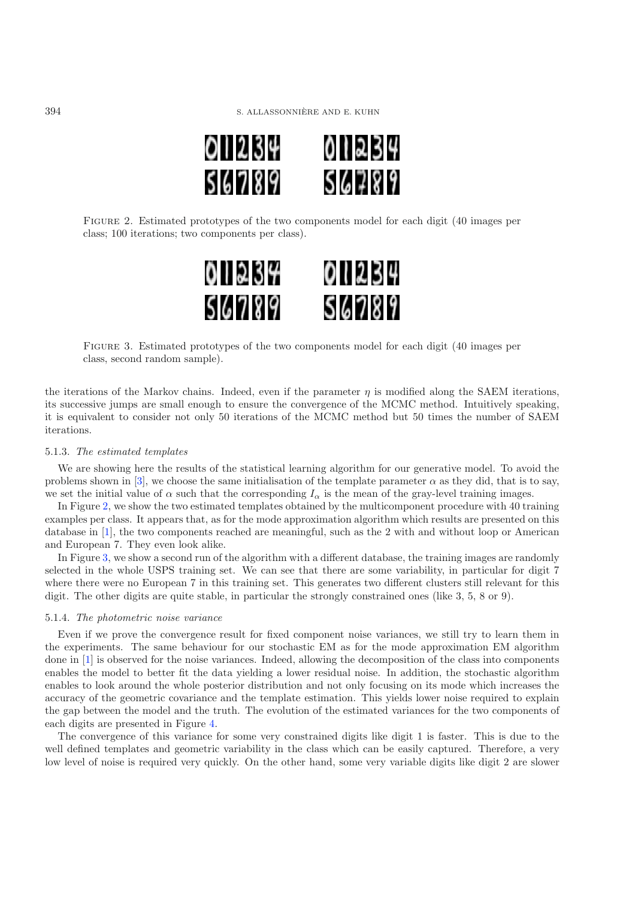

<span id="page-12-0"></span>Figure 2. Estimated prototypes of the two components model for each digit (40 images per class; 100 iterations; two components per class).



Figure 3. Estimated prototypes of the two components model for each digit (40 images per class, second random sample).

<span id="page-12-1"></span>the iterations of the Markov chains. Indeed, even if the parameter  $\eta$  is modified along the SAEM iterations, its successive jumps are small enough to ensure the convergence of the MCMC method. Intuitively speaking, it is equivalent to consider not only 50 iterations of the MCMC method but 50 times the number of SAEM iterations.

#### 5.1.3. *The estimated templates*

We are showing here the results of the statistical learning algorithm for our generative model. To avoid the problems shown in [\[3](#page-25-5)], we choose the same initialisation of the template parameter  $\alpha$  as they did, that is to say, we set the initial value of  $\alpha$  such that the corresponding  $I_{\alpha}$  is the mean of the gray-level training images.

In Figure [2,](#page-12-0) we show the two estimated templates obtained by the multicomponent procedure with 40 training examples per class. It appears that, as for the mode approximation algorithm which results are presented on this database in [\[1\]](#page-25-4), the two components reached are meaningful, such as the 2 with and without loop or American and European 7. They even look alike.

In Figure [3,](#page-12-1) we show a second run of the algorithm with a different database, the training images are randomly selected in the whole USPS training set. We can see that there are some variability, in particular for digit 7 where there were no European 7 in this training set. This generates two different clusters still relevant for this digit. The other digits are quite stable, in particular the strongly constrained ones (like 3, 5, 8 or 9).

#### 5.1.4. *The photometric noise variance*

Even if we prove the convergence result for fixed component noise variances, we still try to learn them in the experiments. The same behaviour for our stochastic EM as for the mode approximation EM algorithm done in [\[1\]](#page-25-4) is observed for the noise variances. Indeed, allowing the decomposition of the class into components enables the model to better fit the data yielding a lower residual noise. In addition, the stochastic algorithm enables to look around the whole posterior distribution and not only focusing on its mode which increases the accuracy of the geometric covariance and the template estimation. This yields lower noise required to explain the gap between the model and the truth. The evolution of the estimated variances for the two components of each digits are presented in Figure [4.](#page-13-0)

The convergence of this variance for some very constrained digits like digit 1 is faster. This is due to the well defined templates and geometric variability in the class which can be easily captured. Therefore, a very low level of noise is required very quickly. On the other hand, some very variable digits like digit 2 are slower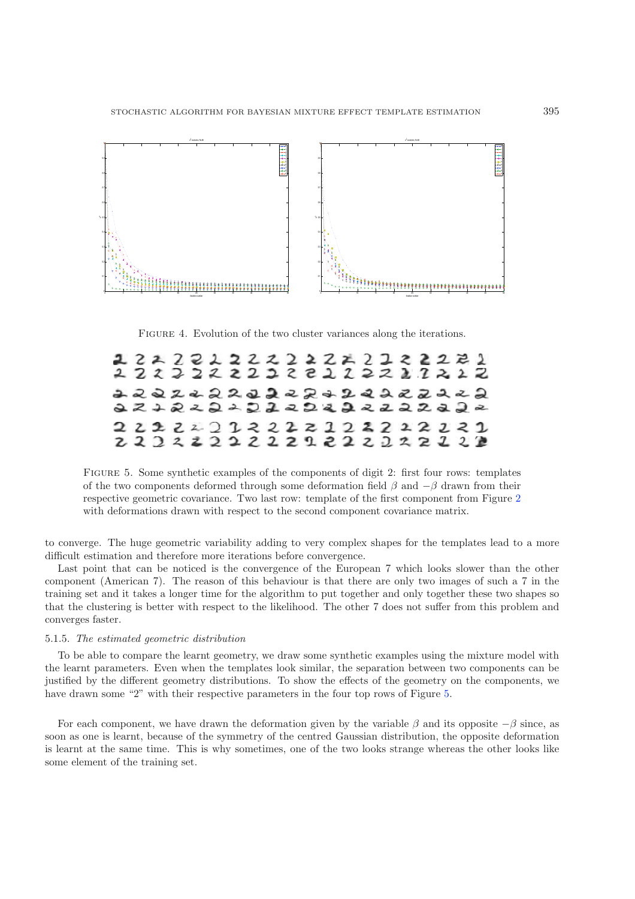

<span id="page-13-1"></span><span id="page-13-0"></span>FIGURE 4. Evolution of the two cluster variances along the iterations.

|  |  |  |  |  | 222222222222222222    |  |  |  |  |
|--|--|--|--|--|-----------------------|--|--|--|--|
|  |  |  |  |  | 222222222222222222    |  |  |  |  |
|  |  |  |  |  | 222222222222222222222 |  |  |  |  |
|  |  |  |  |  | 222222222222222222    |  |  |  |  |
|  |  |  |  |  | 2222222222222222222   |  |  |  |  |
|  |  |  |  |  | 222222222222222222    |  |  |  |  |

Figure 5. Some synthetic examples of the components of digit 2: first four rows: templates of the two components deformed through some deformation field  $\beta$  and  $-\beta$  drawn from their respective geometric covariance. Two last row: template of the first component from Figure [2](#page-12-0) with deformations drawn with respect to the second component covariance matrix.

to converge. The huge geometric variability adding to very complex shapes for the templates lead to a more difficult estimation and therefore more iterations before convergence.

Last point that can be noticed is the convergence of the European 7 which looks slower than the other component (American 7). The reason of this behaviour is that there are only two images of such a 7 in the training set and it takes a longer time for the algorithm to put together and only together these two shapes so that the clustering is better with respect to the likelihood. The other 7 does not suffer from this problem and converges faster.

#### 5.1.5. *The estimated geometric distribution*

To be able to compare the learnt geometry, we draw some synthetic examples using the mixture model with the learnt parameters. Even when the templates look similar, the separation between two components can be justified by the different geometry distributions. To show the effects of the geometry on the components, we have drawn some "2" with their respective parameters in the four top rows of Figure [5.](#page-13-1)

For each component, we have drawn the deformation given by the variable  $\beta$  and its opposite  $-\beta$  since, as soon as one is learnt, because of the symmetry of the centred Gaussian distribution, the opposite deformation is learnt at the same time. This is why sometimes, one of the two looks strange whereas the other looks like some element of the training set.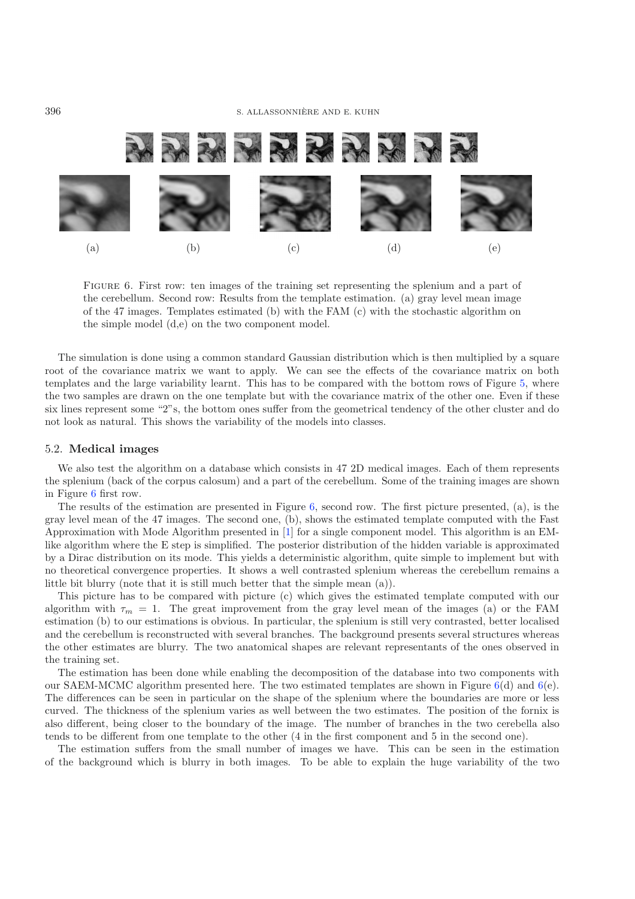396 S. ALLASSONNIÈRE AND E. KUHN



<span id="page-14-0"></span>Figure 6. First row: ten images of the training set representing the splenium and a part of the cerebellum. Second row: Results from the template estimation. (a) gray level mean image of the 47 images. Templates estimated (b) with the FAM (c) with the stochastic algorithm on the simple model (d,e) on the two component model.

The simulation is done using a common standard Gaussian distribution which is then multiplied by a square root of the covariance matrix we want to apply. We can see the effects of the covariance matrix on both templates and the large variability learnt. This has to be compared with the bottom rows of Figure [5,](#page-13-1) where the two samples are drawn on the one template but with the covariance matrix of the other one. Even if these six lines represent some "2"s, the bottom ones suffer from the geometrical tendency of the other cluster and do not look as natural. This shows the variability of the models into classes.

#### 5.2. **Medical images**

We also test the algorithm on a database which consists in 47 2D medical images. Each of them represents the splenium (back of the corpus calosum) and a part of the cerebellum. Some of the training images are shown in Figure [6](#page-14-0) first row.

The results of the estimation are presented in Figure [6,](#page-14-0) second row. The first picture presented, (a), is the gray level mean of the 47 images. The second one, (b), shows the estimated template computed with the Fast Approximation with Mode Algorithm presented in [\[1\]](#page-25-4) for a single component model. This algorithm is an EMlike algorithm where the E step is simplified. The posterior distribution of the hidden variable is approximated by a Dirac distribution on its mode. This yields a deterministic algorithm, quite simple to implement but with no theoretical convergence properties. It shows a well contrasted splenium whereas the cerebellum remains a little bit blurry (note that it is still much better that the simple mean (a)).

This picture has to be compared with picture (c) which gives the estimated template computed with our algorithm with  $\tau_m = 1$ . The great improvement from the gray level mean of the images (a) or the FAM estimation (b) to our estimations is obvious. In particular, the splenium is still very contrasted, better localised and the cerebellum is reconstructed with several branches. The background presents several structures whereas the other estimates are blurry. The two anatomical shapes are relevant representants of the ones observed in the training set.

The estimation has been done while enabling the decomposition of the database into two components with our SAEM-MCMC algorithm presented here. The two estimated templates are shown in Figure  $6(d)$  $6(d)$  and  $6(e)$ . The differences can be seen in particular on the shape of the splenium where the boundaries are more or less curved. The thickness of the splenium varies as well between the two estimates. The position of the fornix is also different, being closer to the boundary of the image. The number of branches in the two cerebella also tends to be different from one template to the other (4 in the first component and 5 in the second one).

The estimation suffers from the small number of images we have. This can be seen in the estimation of the background which is blurry in both images. To be able to explain the huge variability of the two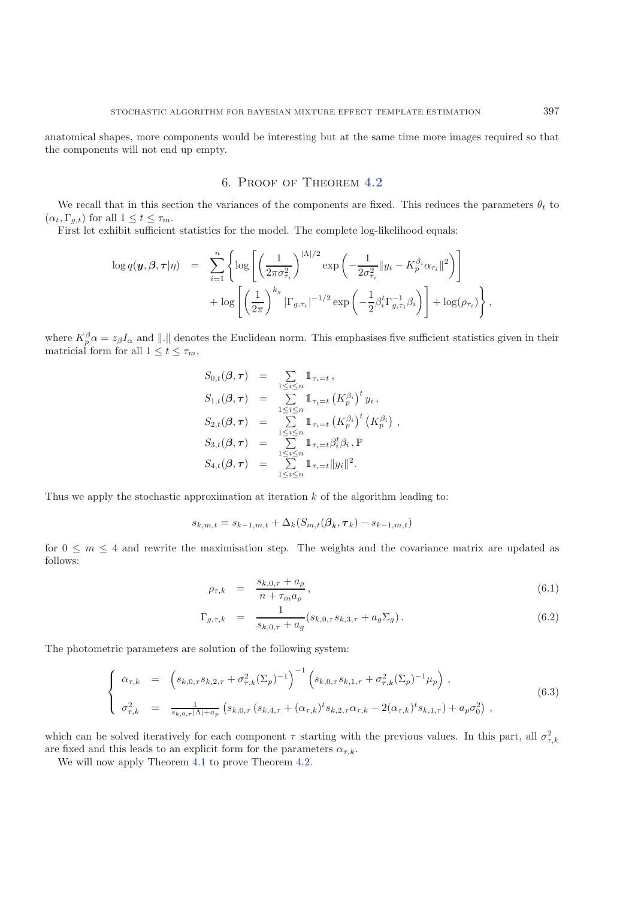<span id="page-15-0"></span>anatomical shapes, more components would be interesting but at the same time more images required so that the components will not end up empty.

## 6. Proof of Theorem [4.2](#page-9-0)

We recall that in this section the variances of the components are fixed. This reduces the parameters  $\theta_t$  to  $(\alpha_t, \Gamma_{q,t})$  for all  $1 \leq t \leq \tau_m$ .

First let exhibit sufficient statistics for the model. The complete log-likelihood equals:

$$
\log q(\mathbf{y}, \beta, \tau | \eta) = \sum_{i=1}^{n} \left\{ \log \left[ \left( \frac{1}{2\pi \sigma_{\tau_i}^2} \right)^{|\Lambda|/2} \exp \left( -\frac{1}{2\sigma_{\tau_i}^2} ||y_i - K_p^{\beta_i} \alpha_{\tau_i}||^2 \right) \right] + \log \left[ \left( \frac{1}{2\pi} \right)^{k_g} |\Gamma_{g,\tau_i}|^{-1/2} \exp \left( -\frac{1}{2} \beta_i^t \Gamma_{g,\tau_i}^{-1} \beta_i \right) \right] + \log(\rho_{\tau_i}) \right\},\,
$$

where  $K_p^{\beta} \alpha = z_{\beta} I_{\alpha}$  and  $\|.\|$  denotes the Euclidean norm. This emphasises five sufficient statistics given in their matricial form for all  $1 \le t \le \tau$ matricial form for all  $1 \le t \le \tau_m$ ,

$$
S_{0,t}(\boldsymbol{\beta}, \boldsymbol{\tau}) = \sum_{1 \leq i \leq n} 1_{\tau_i = t},
$$
  
\n
$$
S_{1,t}(\boldsymbol{\beta}, \boldsymbol{\tau}) = \sum_{1 \leq i \leq n} 1_{\tau_i = t} (K_p^{\beta_i})^t y_i,
$$
  
\n
$$
S_{2,t}(\boldsymbol{\beta}, \boldsymbol{\tau}) = \sum_{1 \leq i \leq n} 1_{\tau_i = t} (K_p^{\beta_i})^t (K_p^{\beta_i}),
$$
  
\n
$$
S_{3,t}(\boldsymbol{\beta}, \boldsymbol{\tau}) = \sum_{1 \leq i \leq n} 1_{\tau_i = t} \beta_i^t \beta_i, \mathbb{P}
$$
  
\n
$$
S_{4,t}(\boldsymbol{\beta}, \boldsymbol{\tau}) = \sum_{1 \leq i \leq n} 1_{\tau_i = t} ||y_i||^2.
$$

Thus we apply the stochastic approximation at iteration  $k$  of the algorithm leading to:

$$
s_{k,m,t} = s_{k-1,m,t} + \Delta_k(S_{m,t}(\beta_k, \tau_k) - s_{k-1,m,t})
$$

for  $0 \leq m \leq 4$  and rewrite the maximisation step. The weights and the covariance matrix are updated as follows:

<span id="page-15-1"></span>
$$
\rho_{\tau,k} = \frac{s_{k,0,\tau} + a_{\rho}}{n + \tau_m a_{\rho}}, \tag{6.1}
$$

$$
\Gamma_{g,\tau,k} = \frac{1}{s_{k,0,\tau} + a_g}(s_{k,0,\tau} s_{k,3,\tau} + a_g \Sigma_g). \tag{6.2}
$$

The photometric parameters are solution of the following system:

$$
\begin{cases}\n\alpha_{\tau,k} = \left(s_{k,0,\tau}s_{k,2,\tau} + \sigma_{\tau,k}^2(\Sigma_p)^{-1}\right)^{-1} \left(s_{k,0,\tau}s_{k,1,\tau} + \sigma_{\tau,k}^2(\Sigma_p)^{-1}\mu_p\right), \\
\sigma_{\tau,k}^2 = \frac{1}{s_{k,0,\tau}|\Lambda|+a_p} \left(s_{k,0,\tau}\left(s_{k,4,\tau} + (\alpha_{\tau,k})^t s_{k,2,\tau}\alpha_{\tau,k} - 2(\alpha_{\tau,k})^t s_{k,1,\tau}\right) + a_p \sigma_0^2\right),\n\end{cases} (6.3)
$$

which can be solved iteratively for each component  $\tau$  starting with the previous values. In this part, all  $\sigma_{\tau,k}^2$ τ,k are fixed and this leads to an explicit form for the parameters  $\alpha_{\tau,k}$ .

We will now apply Theorem [4.1](#page-8-2) to prove Theorem [4.2.](#page-9-0)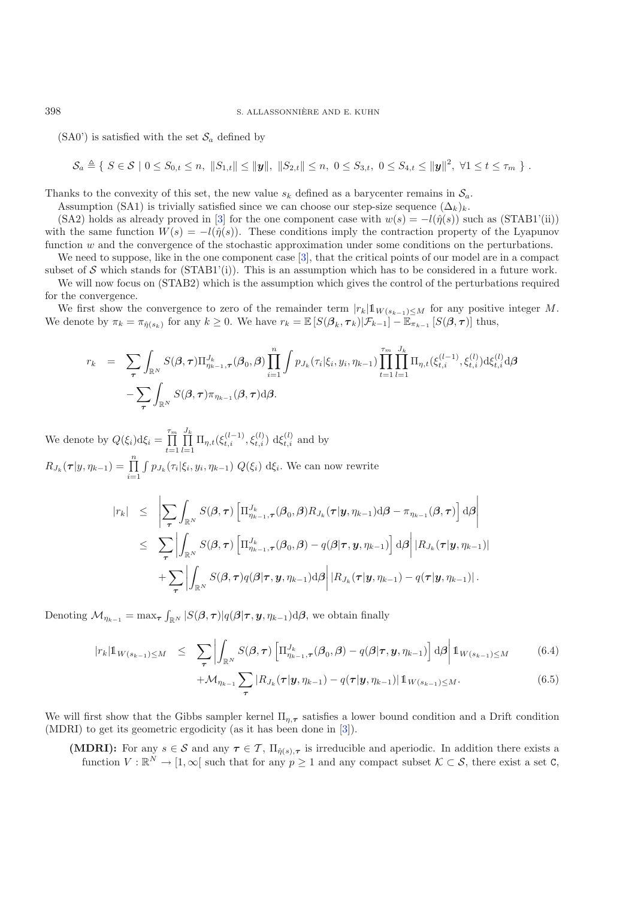(SA0') is satisfied with the set  $\mathcal{S}_a$  defined by

$$
\mathcal{S}_a \triangleq \{ S \in \mathcal{S} \mid 0 \leq S_{0,t} \leq n, \ \|S_{1,t}\| \leq \|y\|, \ \|S_{2,t}\| \leq n, \ 0 \leq S_{3,t}, \ 0 \leq S_{4,t} \leq \|y\|^2, \ \forall 1 \leq t \leq \tau_m \ \}.
$$

Thanks to the convexity of this set, the new value  $s_k$  defined as a barycenter remains in  $\mathcal{S}_a$ .

Assumption (SA1) is trivially satisfied since we can choose our step-size sequence  $(\Delta_k)_k$ .

(SA2) holds as already proved in [\[3\]](#page-25-5) for the one component case with  $w(s) = -l(\hat{\eta}(s))$  such as (STAB1'(ii)) with the same function  $W(s) = -l(\hat{\eta}(s))$ . These conditions imply the contraction property of the Lyapunov function  $w$  and the convergence of the stochastic approximation under some conditions on the perturbations.

We need to suppose, like in the one component case [\[3\]](#page-25-5), that the critical points of our model are in a compact subset of S which stands for  $(STAB1'(i))$ . This is an assumption which has to be considered in a future work.

We will now focus on (STAB2) which is the assumption which gives the control of the perturbations required for the convergence.

We first show the convergence to zero of the remainder term  $|r_k|\mathbb{1}_{W(s_{k-1})\leq M}$  for any positive integer M. We denote by  $\pi_k = \pi_{\hat{\eta}(s_k)}$  for any  $k \geq 0$ . We have  $r_k = \mathbb{E}\left[S(\beta_k, \tau_k)|\mathcal{F}_{k-1}\right] - \mathbb{E}_{\pi_{k-1}}\left[S(\beta, \tau)\right]$  thus,

$$
r_{k} = \sum_{\tau} \int_{\mathbb{R}^{N}} S(\beta, \tau) \Pi_{\eta_{k-1}, \tau}^{J_{k}}(\beta_{0}, \beta) \prod_{i=1}^{n} \int p_{J_{k}}(\tau_{i} | \xi_{i}, y_{i}, \eta_{k-1}) \prod_{t=1}^{\tau_{m}} \prod_{l=1}^{J_{k}} \Pi_{\eta, t}(\xi_{t, i}^{(l-1)}, \xi_{t, i}^{(l)}) d\xi_{t, i}^{(l)} d\beta
$$

$$
- \sum_{\tau} \int_{\mathbb{R}^{N}} S(\beta, \tau) \pi_{\eta_{k-1}}(\beta, \tau) d\beta.
$$

We denote by  $Q(\xi_i)d\xi_i = \prod_{t=1}^m$  $\sum_{t=1}^{\infty}$  J*k*  $\prod_{l=1}^{J_k} \Pi_{\eta,t}(\xi_{t,i}^{(l-1)},\xi_{t,i}^{(l)}) \, d\xi_{t,i}^{(l)}$  and by

 $R_{J_k}(\tau|y,\eta_{k-1}) = \prod_{i=1}^{n} \int p_{J_k}(\tau_i|\xi_i,y_i,\eta_{k-1}) Q(\xi_i) d\xi_i$ . We can now rewrite

$$
|r_k| \leq \left| \sum_{\tau} \int_{\mathbb{R}^N} S(\beta, \tau) \left[ \Pi_{\eta_{k-1}, \tau}^{J_k}(\beta_0, \beta) R_{J_k}(\tau | \mathbf{y}, \eta_{k-1}) \mathrm{d} \beta - \pi_{\eta_{k-1}}(\beta, \tau) \right] \mathrm{d} \beta \right|
$$
  

$$
\leq \sum_{\tau} \left| \int_{\mathbb{R}^N} S(\beta, \tau) \left[ \Pi_{\eta_{k-1}, \tau}^{J_k}(\beta_0, \beta) - q(\beta | \tau, \mathbf{y}, \eta_{k-1}) \right] \mathrm{d} \beta \right| |R_{J_k}(\tau | \mathbf{y}, \eta_{k-1})|
$$
  

$$
+ \sum_{\tau} \left| \int_{\mathbb{R}^N} S(\beta, \tau) q(\beta | \tau, \mathbf{y}, \eta_{k-1}) \mathrm{d} \beta \right| |R_{J_k}(\tau | \mathbf{y}, \eta_{k-1}) - q(\tau | \mathbf{y}, \eta_{k-1})|.
$$

<span id="page-16-0"></span>Denoting  $M_{\eta_{k-1}} = \max_{\tau} \int_{\mathbb{R}^N} |S(\beta, \tau)| q(\beta | \tau, y, \eta_{k-1}) d\beta$ , we obtain finally

$$
|r_k| \mathbb{1}_{W(s_{k-1}) \leq M} \leq \sum_{\tau} \left| \int_{\mathbb{R}^N} S(\beta, \tau) \left[ \Pi_{\eta_{k-1}, \tau}^{J_k}(\beta_0, \beta) - q(\beta | \tau, y, \eta_{k-1}) \right] d\beta \right| \mathbb{1}_{W(s_{k-1}) \leq M} \tag{6.4}
$$

$$
+\mathcal{M}_{\eta_{k-1}}\sum_{\tau}|R_{J_k}(\tau|\mathbf{y},\eta_{k-1})-q(\tau|\mathbf{y},\eta_{k-1})|\mathbb{1}_{W(s_{k-1})\leq M}.
$$
\n(6.5)

We will first show that the Gibbs sampler kernel  $\Pi_{\eta,\tau}$  satisfies a lower bound condition and a Drift condition (MDRI) to get its geometric ergodicity (as it has been done in [\[3\]](#page-25-5)).

**(MDRI):** For any  $s \in \mathcal{S}$  and any  $\tau \in \mathcal{T}$ ,  $\Pi_{\hat{\eta}(s),\tau}$  is irreducible and aperiodic. In addition there exists a function  $V : \mathbb{R}^N \to [1, \infty]$  such that for any  $p \ge 1$  and any compact subset  $K \subset S$ , there exist a set C,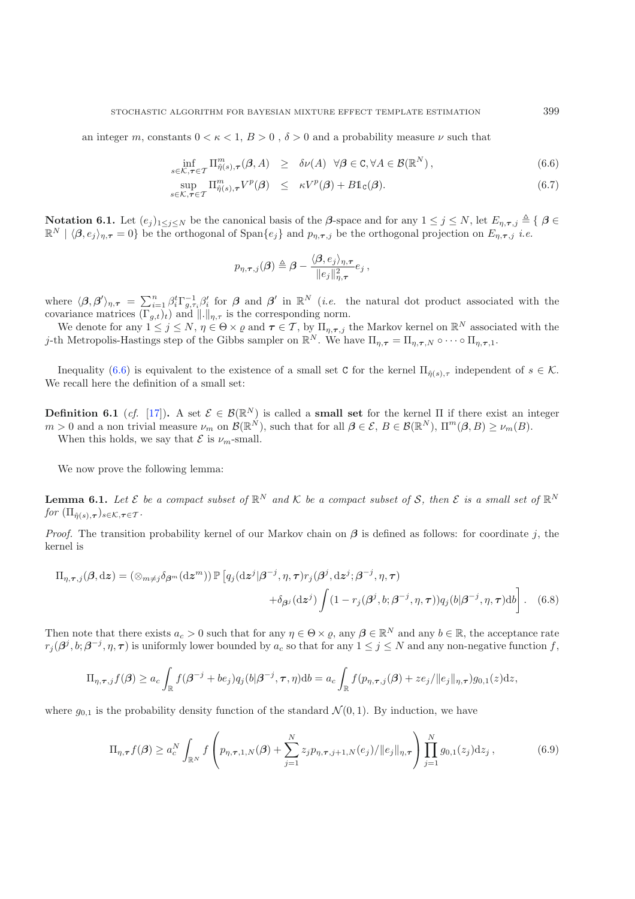<span id="page-17-0"></span>an integer m, constants  $0 < \kappa < 1$ ,  $B > 0$ ,  $\delta > 0$  and a probability measure  $\nu$  such that

$$
\inf_{\in \mathcal{K}, \tau \in \mathcal{T}} \Pi_{\eta(s), \tau}^m(\beta, A) \geq \delta \nu(A) \ \forall \beta \in \mathbf{C}, \forall A \in \mathcal{B}(\mathbb{R}^N), \tag{6.6}
$$

$$
\sup_{s \in \mathcal{K}, \tau \in \mathcal{T}} \Pi_{\hat{\eta}(s), \tau}^{m} V^{p}(\boldsymbol{\beta}) \leq \kappa V^{p}(\boldsymbol{\beta}) + B \mathbb{1}_{\mathbb{C}}(\boldsymbol{\beta}). \tag{6.7}
$$

**Notation 6.1.** Let  $(e_j)_{1 \leq j \leq N}$  be the canonical basis of the *β*-space and for any  $1 \leq j \leq N$ , let  $E_{\eta, \tau, j} \triangleq \{ \beta \in \mathbb{R}^N \setminus \{ \beta_{\sigma, j} \} \cup \{ \beta_{\sigma, j} \}$  $\mathbb{R}^N \mid \langle \beta, e_j \rangle_{\eta, \tau} = 0$  be the orthogonal of Span $\{e_j\}$  and  $p_{\eta, \tau, j}$  be the orthogonal projection on  $E_{\eta, \tau, j}$  *i.e.* 

$$
p_{\eta,\boldsymbol{\tau},j}(\boldsymbol{\beta}) \triangleq \boldsymbol{\beta} - \frac{\langle \boldsymbol{\beta}, e_j \rangle_{\eta,\boldsymbol{\tau}}}{\|e_j\|_{\eta,\boldsymbol{\tau}}^2} e_j,
$$

where  $\langle \beta, \beta' \rangle_{\eta, \tau} = \sum_{i=1}^n \beta_i^t \Gamma_{g, \tau_i}^{-1} \beta_i'$  for  $\beta$  and  $\beta'$  in  $\mathbb{R}^N$  (*i.e.* the natural dot product associated with the covariance matrices  $(\Gamma_{\text{old}})_{\text{old}} \| \|$  is the corresponding norm covariance matrices  $(\Gamma_{g,t})_t$ ) and  $\|\cdot\|_{\eta,\tau}$  is the corresponding norm.

We denote for any  $1 \leq j \leq N$ ,  $\eta \in \Theta \times \varrho$  and  $\tau \in \mathcal{T}$ , by  $\Pi_{\eta,\tau,j}$  the Markov kernel on  $\mathbb{R}^N$  associated with the j-th Metropolis-Hastings step of the Gibbs sampler on  $\mathbb{R}^N$ . We have  $\Pi_{\eta,\tau} = \Pi_{\eta,\tau,N} \circ \cdots \circ \Pi_{\eta,\tau,1}$ .

Inequality [\(6.6\)](#page-17-0) is equivalent to the existence of a small set C for the kernel  $\Pi_{\hat{n}(s),\tau}$  independent of  $s \in \mathcal{K}$ . We recall here the definition of a small set:

**Definition 6.1** (*cf.* [\[17\]](#page-26-5)). A set  $\mathcal{E} \in \mathcal{B}(\mathbb{R}^N)$  is called a **small set** for the kernel  $\Pi$  if there exist an integer  $m > 0$  and a non trivial measure  $\nu_m$  on  $\mathcal{B}(\mathbb{R}^N)$ , such that for all  $\beta \in \mathcal{E}, B \in \mathcal{B}(\mathbb{R}^N)$ ,  $\Pi^m(\beta, B) \ge \nu_m(B)$ . When this holds, we say that  $\mathcal E$  is  $\nu_m$ -small.

We now prove the following lemma:

**Lemma 6.1.** *Let*  $\mathcal{E}$  *be a compact subset of*  $\mathbb{R}^N$  *and*  $\mathcal{K}$  *be a compact subset of*  $\mathcal{S}$ *, then*  $\mathcal{E}$  *is a small set of*  $\mathbb{R}^N$ *for*  $(\Pi_{\hat{n}(s), \tau})_{s \in \mathcal{K}, \tau \in \mathcal{T}}$ *.* 

*Proof.* The transition probability kernel of our Markov chain on *β* is defined as follows: for coordinate *j*, the kernel is

<span id="page-17-1"></span>
$$
\Pi_{\eta,\tau,j}(\beta,\mathrm{d}z) = (\otimes_{m\neq j}\delta_{\beta^m}(\mathrm{d}z^m)) \mathbb{P}\left[q_j(\mathrm{d}z^j|\beta^{-j},\eta,\tau)r_j(\beta^j,\mathrm{d}z^j;\beta^{-j},\eta,\tau)\right] \n+ \delta_{\beta^j}(\mathrm{d}z^j) \int (1-r_j(\beta^j,b;\beta^{-j},\eta,\tau))q_j(b|\beta^{-j},\eta,\tau)\mathrm{d}b\right].
$$
 (6.8)

Then note that there exists  $a_c > 0$  such that for any  $\eta \in \Theta \times \varrho$ , any  $\beta \in \mathbb{R}^N$  and any  $b \in \mathbb{R}$ , the acceptance rate  $r_j(\beta^j, b; \beta^{-j}, \eta, \tau)$  is uniformly lower bounded by  $a_c$  so that for any  $1 \le j \le N$  and any non-negative function f,

$$
\Pi_{\eta,\boldsymbol{\tau},j}f(\boldsymbol{\beta})\geq a_c\int_{\mathbb{R}}f(\boldsymbol{\beta}^{-j}+be_j)q_j(b|\boldsymbol{\beta}^{-j},\boldsymbol{\tau},\eta)db=a_c\int_{\mathbb{R}}f(p_{\eta,\boldsymbol{\tau},j}(\boldsymbol{\beta})+ze_j/\|e_j\|_{\eta,\boldsymbol{\tau}})g_{0,1}(z)dz,
$$

where  $g_{0,1}$  is the probability density function of the standard  $\mathcal{N}(0, 1)$ . By induction, we have

$$
\Pi_{\eta,\tau} f(\beta) \ge a_c^N \int_{\mathbb{R}^N} f\left(p_{\eta,\tau,1,N}(\beta) + \sum_{j=1}^N z_j p_{\eta,\tau,j+1,N}(e_j) / \|e_j\|_{\eta,\tau}\right) \prod_{j=1}^N g_{0,1}(z_j) dz_j,
$$
(6.9)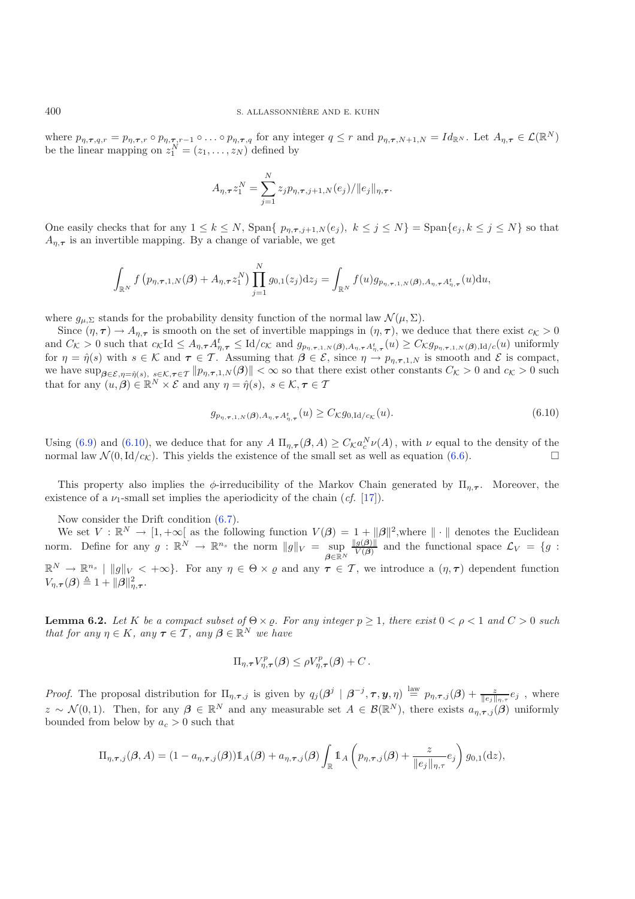where  $p_{\eta,\tau,q,r} = p_{\eta,\tau,r} \circ p_{\eta,\tau,r-1} \circ \ldots \circ p_{\eta,\tau,q}$  for any integer  $q \leq r$  and  $p_{\eta,\tau,N+1,N} = Id_{\mathbb{R}^N}$ . Let  $A_{\eta,\tau} \in \mathcal{L}(\mathbb{R}^N)$  be the linear mapping on  $z_1^N = (z_1, \ldots, z_N)$  defined by

$$
A_{\eta,\tau}z_1^N = \sum_{j=1}^N z_j p_{\eta,\tau,j+1,N}(e_j)/||e_j||_{\eta,\tau}.
$$

One easily checks that for any  $1 \leq k \leq N$ , Span $\{p_{\eta,\tau,j+1,N}(e_j), k \leq j \leq N\}$  = Span $\{e_j, k \leq j \leq N\}$  so that  $A_{n,\tau}$  is an invertible mapping. By a change of variable, we get

<span id="page-18-0"></span>
$$
\int_{\mathbb{R}^N} f(p_{\eta,\boldsymbol{\tau},1,N}(\boldsymbol{\beta}) + A_{\eta,\boldsymbol{\tau}} z_1^N) \prod_{j=1}^N g_{0,1}(z_j) \mathrm{d} z_j = \int_{\mathbb{R}^N} f(u) g_{p_{\eta,\boldsymbol{\tau},1,N}(\boldsymbol{\beta}),A_{\eta,\boldsymbol{\tau}} A_{\eta,\boldsymbol{\tau}}^t}(u) \mathrm{d} u,
$$

where  $g_{\mu,\Sigma}$  stands for the probability density function of the normal law  $\mathcal{N}(\mu,\Sigma)$ .

Since  $(\eta, \tau) \to A_{\eta, \tau}$  is smooth on the set of invertible mappings in  $(\eta, \tau)$ , we deduce that there exist  $c_K > 0$ and  $C_{\mathcal{K}} > 0$  such that  $c_{\mathcal{K}} \text{Id} \leq A_{\eta,\tau} A_{\eta,\tau}^t \leq \text{Id}/c_{\mathcal{K}}$  and  $g_{p_{\eta,\tau,1,N}(\beta),A_{\eta,\tau}A_{\eta,\tau}^t}(u) \geq C_{\mathcal{K}} g_{p_{\eta,\tau,1,N}(\beta),\text{Id}/c}(u)$  uniformly for  $\eta = \hat{\eta}(s)$  with  $s \in \mathcal{K}$  and  $\tau \in \mathcal{T}$ . Assuming that  $\beta \in \mathcal{E}$ , since  $\eta \to p_{n,\tau,1,N}$  is smooth and  $\mathcal{E}$  is compact, we have  $\sup_{\beta \in \mathcal{E}, \eta = \hat{\eta}(s), s \in \mathcal{K}, \tau \in \mathcal{T}} \|p_{\eta, \tau, 1, N}(\beta)\| < \infty$  so that there exist other constants  $C_{\mathcal{K}} > 0$  and  $c_{\mathcal{K}} > 0$  such that for any  $(u, \beta) \in \mathbb{R}^N \times \mathcal{E}$  and any  $\eta = \hat{\eta}(s), s \in \mathcal{K}, \tau \in \mathcal{T}$ 

$$
g_{p_{\eta,\tau,1,N}(\beta),A_{\eta,\tau}A_{\eta,\tau}^t}(u) \geq C_{\mathcal{K}}g_{0,\mathrm{Id}/c_{\mathcal{K}}}(u). \tag{6.10}
$$

Using [\(6.9\)](#page-17-1) and [\(6.10\)](#page-18-0), we deduce that for any  $A \Pi_{\eta,\tau}(\beta, A) \geq C_{\mathcal{K}} a_{\mathcal{K}}^N \nu(A)$ , with  $\nu$  equal to the density of the pormal law  $\mathcal{N}(0, \text{Id}_{\mathcal{K}})$ . This violds the ovietance of the small set as well as equa normal law  $\mathcal{N}(0,\mathrm{Id}/c_{\mathcal{K}})$ . This yields the existence of the small set as well as equation [\(6.6\)](#page-17-0).

This property also implies the  $\phi$ -irreducibility of the Markov Chain generated by  $\Pi_{n,\tau}$ . Moreover, the existence of a  $\nu_1$ -small set implies the aperiodicity of the chain (*cf.* [\[17\]](#page-26-5)).

Now consider the Drift condition [\(6.7\)](#page-17-0).

We set  $V : \mathbb{R}^N \to [1, +\infty[$  as the following function  $V(\beta) = 1 + ||\beta||^2$ , where  $|| \cdot ||$  denotes the Euclidean norm. Define for any  $g : \mathbb{R}^N \to \mathbb{R}^{n_s}$  the norm  $||g||_V = \sup_{\beta \in \mathbb{R}^N}$  $\frac{\|g(\boldsymbol{\beta})\|}{V(\boldsymbol{\beta})}$  and the functional space  $\mathcal{L}_V = \{g :$  $\mathbb{R}^N \to \mathbb{R}^{n_s} \mid \|g\|_V < +\infty$ . For any  $\eta \in \Theta \times \varrho$  and any  $\tau \in \mathcal{T}$ , we introduce a  $(\eta, \tau)$  dependent function  $V_{\eta,\boldsymbol{\tau}}(\boldsymbol{\beta}) \triangleq 1 + ||\boldsymbol{\beta}||_{\eta,\boldsymbol{\tau}}^2.$ 

<span id="page-18-1"></span>**Lemma 6.2.** Let K be a compact subset of  $\Theta \times \varrho$ . For any integer  $p \geq 1$ , there exist  $0 < \rho < 1$  and  $C > 0$  such *that for any*  $\eta \in K$ *, any*  $\tau \in \mathcal{T}$ *, any*  $\beta \in \mathbb{R}^N$  *we have* 

$$
\Pi_{\eta,\boldsymbol{\tau}} V_{\eta,\boldsymbol{\tau}}^p(\boldsymbol{\beta}) \leq \rho V_{\eta,\boldsymbol{\tau}}^p(\boldsymbol{\beta}) + C.
$$

*Proof.* The proposal distribution for  $\Pi_{\eta,\tau,j}$  is given by  $q_j(\beta^j \mid \beta^{-j}, \tau, y, \eta) \stackrel{\text{law}}{=} p_{\eta,\tau,j}(\beta) + \frac{z}{\|e_j\|_{\eta,\tau}} e_j$ , where  $z \sim \mathcal{N}(0, 1)$ . Then, for any  $\beta \in \mathbb{R}^N$  and any measurable set  $A \in \mathcal{B}(\mathbb{R}^N)$ , there exists  $a_{\eta, \tau, j}(\beta)$  uniformly beyonded from below by  $a_{\eta, \tau} > 0$  such that bounded from below by  $a_c > 0$  such that

$$
\Pi_{\eta,\boldsymbol{\tau},j}(\boldsymbol{\beta},A)=(1-a_{\eta,\boldsymbol{\tau},j}(\boldsymbol{\beta}))1_A(\boldsymbol{\beta})+a_{\eta,\boldsymbol{\tau},j}(\boldsymbol{\beta})\int_{\mathbb{R}}1_A\left(p_{\eta,\boldsymbol{\tau},j}(\boldsymbol{\beta})+\frac{z}{\|e_j\|_{\eta,\boldsymbol{\tau}}}\mathbf{e}_j\right)g_{0,1}(\mathrm{d}z),
$$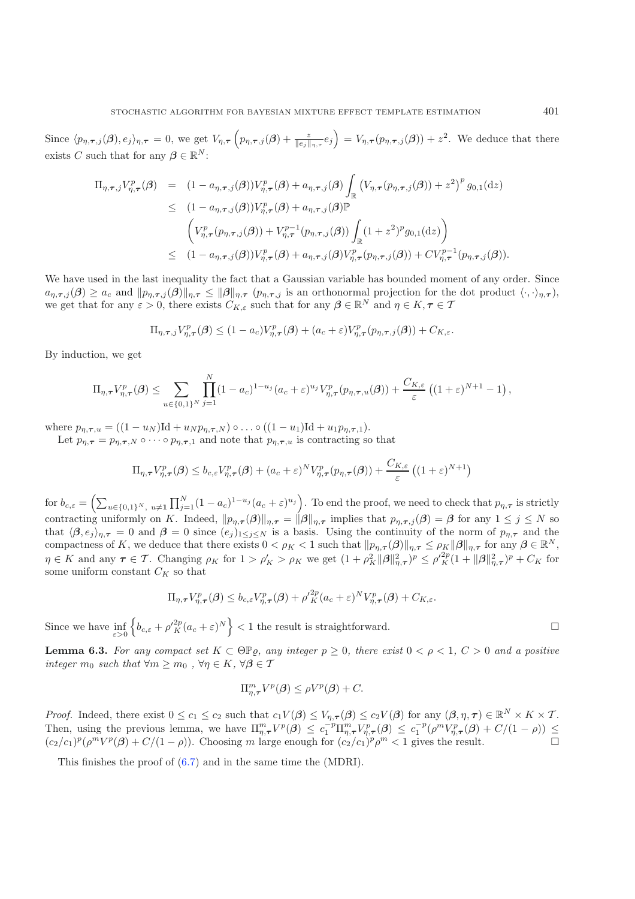Since  $\langle p_{\eta,\tau,j}(\boldsymbol{\beta}), e_j \rangle_{\eta,\tau} = 0$ , we get  $V_{\eta,\tau} \left( p_{\eta,\tau,j}(\boldsymbol{\beta}) + \frac{z}{\|e_j\|_{\eta,\tau}} e_j \right) = V_{\eta,\tau} (p_{\eta,\tau,j}(\boldsymbol{\beta})) + z^2$ . We deduce that there exists *C* such that for any  $\beta \in \mathbb{R}^N$ :

$$
\Pi_{\eta,\boldsymbol{\tau},j}V_{\eta,\boldsymbol{\tau}}^p(\boldsymbol{\beta}) = (1 - a_{\eta,\boldsymbol{\tau},j}(\boldsymbol{\beta}))V_{\eta,\boldsymbol{\tau}}^p(\boldsymbol{\beta}) + a_{\eta,\boldsymbol{\tau},j}(\boldsymbol{\beta})\int_{\mathbb{R}} \left(V_{\eta,\boldsymbol{\tau}}(p_{\eta,\boldsymbol{\tau},j}(\boldsymbol{\beta})) + z^2\right)^p g_{0,1}(\mathrm{d}z)
$$
\n
$$
\leq (1 - a_{\eta,\boldsymbol{\tau},j}(\boldsymbol{\beta}))V_{\eta,\boldsymbol{\tau}}^p(\boldsymbol{\beta}) + a_{\eta,\boldsymbol{\tau},j}(\boldsymbol{\beta})\mathbb{P}
$$
\n
$$
\left(V_{\eta,\boldsymbol{\tau}}^p(p_{\eta,\boldsymbol{\tau},j}(\boldsymbol{\beta})) + V_{\eta,\boldsymbol{\tau}}^{p-1}(p_{\eta,\boldsymbol{\tau},j}(\boldsymbol{\beta}))\int_{\mathbb{R}} (1 + z^2)^p g_{0,1}(\mathrm{d}z)\right)
$$
\n
$$
\leq (1 - a_{\eta,\boldsymbol{\tau},j}(\boldsymbol{\beta}))V_{\eta,\boldsymbol{\tau}}^p(\boldsymbol{\beta}) + a_{\eta,\boldsymbol{\tau},j}(\boldsymbol{\beta})V_{\eta,\boldsymbol{\tau}}^p(p_{\eta,\boldsymbol{\tau},j}(\boldsymbol{\beta})) + CV_{\eta,\boldsymbol{\tau}}^{p-1}(p_{\eta,\boldsymbol{\tau},j}(\boldsymbol{\beta})).
$$

We have used in the last inequality the fact that a Gaussian variable has bounded moment of any order. Since  $a_{\eta,\tau,j}(\beta) \ge a_c$  and  $||p_{\eta,\tau,j}(\beta)||_{\eta,\tau} \le ||\beta||_{\eta,\tau}$  ( $p_{\eta,\tau,j}$  is an orthonormal projection for the dot product  $\langle \cdot, \cdot \rangle_{\eta,\tau}$ ), we get that for any  $\varepsilon > 0$ , there exists  $C_{K,\varepsilon}$  such that for any  $\beta \in \mathbb{R}^N$  and  $\eta \in K, \tau \in \mathcal{T}$ 

$$
\Pi_{\eta,\boldsymbol{\tau},j}V_{\eta,\boldsymbol{\tau}}^p(\boldsymbol{\beta}) \leq (1-a_c)V_{\eta,\boldsymbol{\tau}}^p(\boldsymbol{\beta}) + (a_c+\varepsilon)V_{\eta,\boldsymbol{\tau}}^p(p_{\eta,\boldsymbol{\tau},j}(\boldsymbol{\beta})) + C_{K,\varepsilon}.
$$

By induction, we get

$$
\Pi_{\eta,\boldsymbol{\tau}}V_{\eta,\boldsymbol{\tau}}^p(\boldsymbol{\beta}) \leq \sum_{u \in \{0,1\}^N} \prod_{j=1}^N (1-a_c)^{1-u_j} (a_c+\varepsilon)^{u_j} V_{\eta,\boldsymbol{\tau}}^p(p_{\eta,\boldsymbol{\tau},u}(\boldsymbol{\beta})) + \frac{C_{K,\varepsilon}}{\varepsilon} ((1+\varepsilon)^{N+1}-1),
$$

where  $p_{n,\tau,u} = ((1 - u_N)\mathrm{Id} + u_N p_{n,\tau,N}) \circ ... \circ ((1 - u_1)\mathrm{Id} + u_1 p_{n,\tau,1}).$ 

Let  $p_{n,\tau} = p_{n,\tau,N} \circ \cdots \circ p_{n,\tau,1}$  and note that  $p_{n,\tau,u}$  is contracting so that

$$
\Pi_{\eta,\tau} V_{\eta,\tau}^p(\boldsymbol{\beta}) \le b_{c,\varepsilon} V_{\eta,\tau}^p(\boldsymbol{\beta}) + (a_c + \varepsilon)^N V_{\eta,\tau}^p(p_{\eta,\tau}(\boldsymbol{\beta})) + \frac{C_{K,\varepsilon}}{\varepsilon} ((1+\varepsilon)^{N+1})
$$

for  $b_{c,\varepsilon} = \left(\sum_{u \in \{0,1\}^N, u \neq 1} \prod_{j=1}^N (1 - a_c)^{1-u_j} (a_c + \varepsilon)^{u_j}\right)$ . To end the proof, we need to check that  $p_{\eta,\tau}$  is strictly contracting uniformly on K. Indeed,  $||p_{\eta,\tau}(\beta)||_{\eta,\tau} = ||\beta||_{\eta,\tau}$  implies that  $p_{\eta,\tau,j}(\beta) = \beta$  for any  $1 \leq j \leq N$  so<br>that  $\beta$  and properly only the position of the particular of the particular of the particular of the that  $\langle \beta, e_j \rangle_{\eta, \tau} = 0$  and  $\beta = 0$  since  $(e_j)_{1 \leq j \leq N}$  is a basis. Using the continuity of the norm of  $p_{\eta, \tau}$  and the compactness of K, we deduce that there exists  $0 < \rho_K < 1$  such that  $\|p_{\eta,\tau}(\boldsymbol{\beta})\|_{\eta,\tau} \leq \rho_K \|\boldsymbol{\beta}\|_{\eta,\tau}$  for any  $\boldsymbol{\beta} \in \mathbb{R}^N$ ,  $\eta \in K$  and any  $\tau \in \mathcal{T}$ . Changing  $\rho_K$  for  $1 > \rho_K' > \rho_K$  we get  $(1 + \rho_K^2 ||\boldsymbol{\beta}||_{\eta,\tau}^2)^p \leq \rho'^{2p}_K(1 + ||\boldsymbol{\beta}||_{\eta,\tau}^2)^p + C_K$  for some uniform constant  $C_K$  so that

$$
\Pi_{\eta,\tau} V_{\eta,\tau}^p(\boldsymbol{\beta}) \le b_{c,\varepsilon} V_{\eta,\tau}^p(\boldsymbol{\beta}) + \rho'_{K}^{2p} (a_c + \varepsilon)^N V_{\eta,\tau}^p(\boldsymbol{\beta}) + C_{K,\varepsilon}.
$$

Since we have  $\inf_{\varepsilon > 0}$  $\left\{b_{c,\varepsilon} + \rho'^{2p}_K(a_c + \varepsilon)^N\right\} < 1$  the result is straightforward.

<span id="page-19-0"></span>**Lemma 6.3.** For any compact set  $K \subset \Theta \mathbb{P}_\theta$ , any integer  $p \geq 0$ , there exist  $0 < \rho < 1$ ,  $C > 0$  and a positive *integer*  $m_0$  *such that*  $\forall m > m_0$ ,  $\forall \eta \in K$ ,  $\forall \beta \in T$ 

$$
\Pi_{\eta,\tau}^m V^p(\boldsymbol{\beta}) \le \rho V^p(\boldsymbol{\beta}) + C.
$$

*Proof.* Indeed, there exist  $0 \le c_1 \le c_2$  such that  $c_1V(\beta) \le V_{\eta,\tau}(\beta) \le c_2V(\beta)$  for any  $(\beta,\eta,\tau) \in \mathbb{R}^N \times K \times T$ . Then, using the previous lemma, we have  $\Pi_{\eta,\tau}^m V^p(\beta) \le c_1^{-p} \Pi_{\eta,\tau}^m V_{\eta,\tau}^p(\beta) \le c_1^{-p} (\rho^m V_{\eta,\tau}^p(\beta) + C/(1 - \rho)) \le (c_2/c_1)^p (\rho^m V^p(\beta) + C/(1 - \rho)).$  Choosing m large enough for  $(c_2/c_1)^p \rho^m < 1$  gives the result.

This finishes the proof of [\(6.7\)](#page-17-0) and in the same time the (MDRI).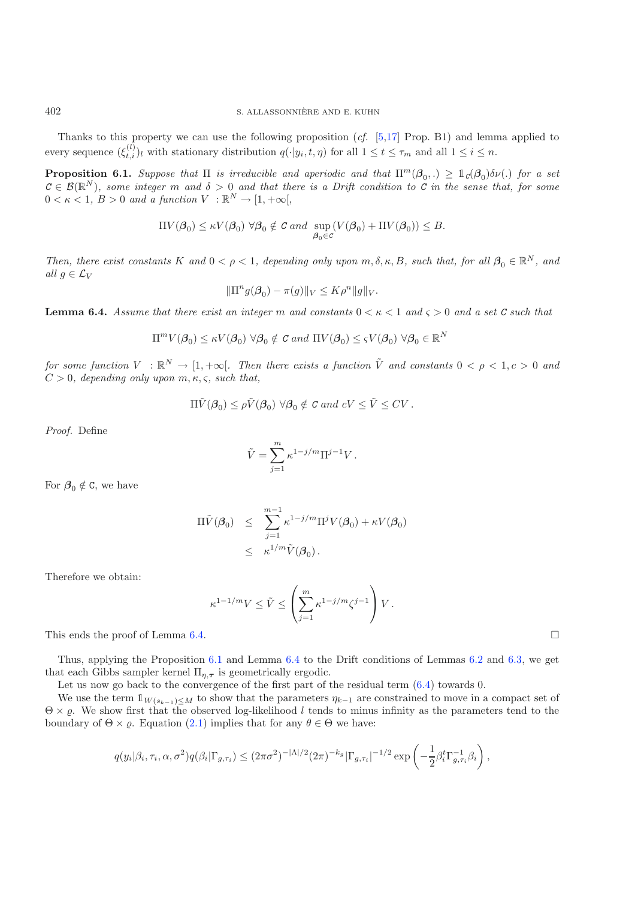Thanks to this property we can use the following proposition (*cf.* [\[5](#page-25-7)[,17](#page-26-5)] Prop. B1) and lemma applied to every sequence  $(\xi_{t,i}^{(l)})_l$  with stationary distribution  $q(\cdot|y_i, t, \eta)$  for all  $1 \le t \le \tau_m$  and all  $1 \le i \le n$ .

<span id="page-20-1"></span>**Proposition 6.1.** *Suppose that*  $\Pi$  *is irreducible and aperiodic and that*  $\Pi^{m}(\beta_{0},.) \geq \mathbb{1}_{c}(\beta_{0})\delta\nu(.)$  *for a set*  $C \in \mathcal{B}(\mathbb{R}^N)$ , some integer m and  $\delta > 0$  and that there is a Drift condition to *C* in the sense that, for some  $0 < \kappa < 1, B > 0$  and a function  $V : \mathbb{R}^N \to [1, +\infty]$ ,

$$
\Pi V(\boldsymbol{\beta}_0) \leq \kappa V(\boldsymbol{\beta}_0) \,\,\forall \boldsymbol{\beta}_0 \notin \mathcal{C} \, and \, \sup_{\boldsymbol{\beta}_0 \in \mathcal{C}} (V(\boldsymbol{\beta}_0) + \Pi V(\boldsymbol{\beta}_0)) \leq B.
$$

*Then, there exist constants* K and  $0 < \rho < 1$ *, depending only upon*  $m, \delta, \kappa, B$ *, such that, for all*  $\beta_0 \in \mathbb{R}^N$ *, and all*  $g \in \mathcal{L}_V$ 

$$
\|\Pi^n g(\boldsymbol{\beta}_0) - \pi(g)\|_V \le K\rho^n \|g\|_V.
$$

<span id="page-20-0"></span>**Lemma 6.4.** *Assume that there exist an integer* m and constants  $0 \lt \kappa \lt 1$  and  $\varsigma > 0$  and a set C such that

$$
\Pi^m V(\mathcal{B}_0) \leq \kappa V(\mathcal{B}_0) \ \forall \mathcal{B}_0 \notin \mathcal{C} \ and \ \Pi V(\mathcal{B}_0) \leq \varsigma V(\mathcal{B}_0) \ \forall \mathcal{B}_0 \in \mathbb{R}^N
$$

*for some function*  $V : \mathbb{R}^N \to [1, +\infty]$ *. Then there exists a function*  $\tilde{V}$  *and constants*  $0 < \rho < 1, c > 0$  *and*  $C > 0$ , depending only upon  $m, \kappa, \varsigma$ , such that,

$$
\Pi \tilde{V}(\beta_0) \leq \rho \tilde{V}(\beta_0) \,\,\forall \beta_0 \notin \mathcal{C} \text{ and } cV \leq \tilde{V} \leq CV.
$$

*Proof.* Define

$$
\tilde{V} = \sum_{j=1}^{m} \kappa^{1-j/m} \Pi^{j-1} V.
$$

For  $\beta_0 \notin \mathsf{C}$ , we have

$$
\begin{array}{lcl} \Pi \tilde V(\boldsymbol{\beta}_0) & \leq & \displaystyle \sum_{j=1}^{m-1} \kappa^{1-j/m} \Pi^j V(\boldsymbol{\beta}_0) + \kappa V(\boldsymbol{\beta}_0) \\ & \leq & \kappa^{1/m} \tilde V(\boldsymbol{\beta}_0) \, . \end{array}
$$

Therefore we obtain:

$$
\kappa^{1-1/m}V \leq \tilde{V} \leq \left(\sum_{j=1}^m \kappa^{1-j/m}\zeta^{j-1}\right)V.
$$

This ends the proof of Lemma [6.4.](#page-20-0)  $\Box$ 

Thus, applying the Proposition [6.1](#page-20-1) and Lemma [6.4](#page-20-0) to the Drift conditions of Lemmas [6.2](#page-18-1) and [6.3,](#page-19-0) we get that each Gibbs sampler kernel  $\Pi_{\eta,\tau}$  is geometrically ergodic.

Let us now go back to the convergence of the first part of the residual term  $(6.4)$  towards 0.

We use the term  $\mathbb{1}_{W(s_{k-1})\leq M}$  to show that the parameters  $\eta_{k-1}$  are constrained to move in a compact set of  $\Theta \times \varrho$ . We show first that the observed log-likelihood l tends to minus infinity as the parameters tend to the boundary of  $\Theta \times \varrho$ . Equation [\(2.1\)](#page-2-1) implies that for any  $\theta \in \Theta$  we have:

$$
q(y_i|\beta_i,\tau_i,\alpha,\sigma^2)q(\beta_i|\Gamma_{g,\tau_i}) \leq (2\pi\sigma^2)^{-|\Lambda|/2}(2\pi)^{-k_g}|\Gamma_{g,\tau_i}|^{-1/2}\exp\left(-\frac{1}{2}\beta_i^t\Gamma_{g,\tau_i}^{-1}\beta_i\right),
$$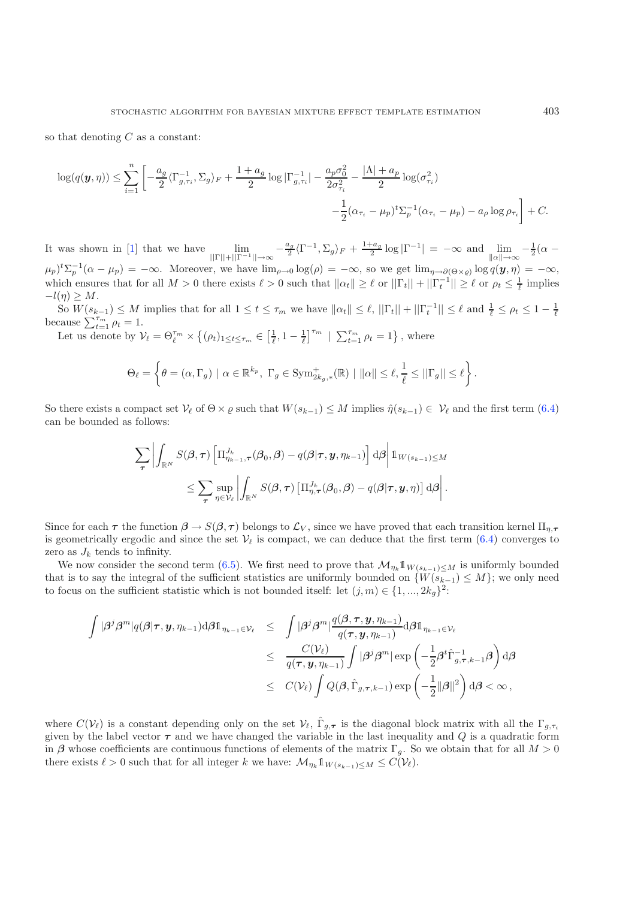so that denoting  $C$  as a constant:

$$
\log(q(\mathbf{y},\eta)) \leq \sum_{i=1}^n \left[ -\frac{a_g}{2} \langle \Gamma_{g,\tau_i}^{-1}, \Sigma_g \rangle_F + \frac{1+a_g}{2} \log |\Gamma_{g,\tau_i}^{-1}| - \frac{a_p \sigma_0^2}{2 \sigma_{\tau_i}^2} - \frac{|\Lambda| + a_p}{2} \log(\sigma_{\tau_i}^2) - \frac{1}{2} (\alpha_{\tau_i} - \mu_p)^t \Sigma_p^{-1} (\alpha_{\tau_i} - \mu_p) - a_p \log \rho_{\tau_i} \right] + C.
$$

It was shown in [\[1](#page-25-4)] that we have  $\lim_{||\Gamma||+||\Gamma^{-1}||\to\infty} -\frac{a_g}{2}\langle \Gamma^{-1}, \Sigma_g \rangle_F + \frac{1+a_g}{2}\log|\Gamma^{-1}| = -\infty$  and  $\lim_{||\alpha||\to\infty} -\frac{1}{2}(\alpha - \frac{1}{2})$  $(\mu_p)^t \Sigma_p^{-1} (\alpha - \mu_p) = -\infty$ . Moreover, we have  $\lim_{\rho \to 0} \log(\rho) = -\infty$ , so we get  $\lim_{\eta \to \partial (\Theta \times \rho)} \log q(\mathbf{y}, \eta) = -\infty$ , which ensures that for all  $M > 0$  there exists  $\ell > 0$  such that  $\|\alpha_t\| \geq \ell$  or  $||\Gamma_t|| + ||\Gamma_t^{-1}|| \geq \ell$  or  $\rho_t \leq \frac{1}{\ell}$  implies  $-l(n) > M$  $-l(\eta) \geq M$ .

So  $W(s_{k-1}) \leq M$  implies that for all  $1 \leq t \leq \tau_m$  we have  $||\alpha_t|| \leq \ell$ ,  $||\Gamma_t|| + ||\Gamma_t^{-1}|| \leq \ell$  and  $\frac{1}{\ell} \leq \rho_t \leq 1 - \frac{1}{\ell}$ because  $\sum_{t=1}^{\tau_m} \rho_t = 1.$ <br>Let us denote by )

Let us denote by  $V_{\ell} = \Theta_{\ell}^{\tau_m} \times \left\{ (\rho_t)_{1 \leq t \leq \tau_m} \in \left[\frac{1}{\ell}, 1 - \frac{1}{\ell}\right]^{\tau_m} \mid \sum_{t=1}^{\tau_m} \rho_t = 1 \right\}$ , where

$$
\Theta_{\ell} = \left\{ \theta = (\alpha, \Gamma_g) \mid \alpha \in \mathbb{R}^{k_p}, \ \Gamma_g \in \text{Sym}^+_{2k_g, *}(\mathbb{R}) \mid ||\alpha|| \leq \ell, \frac{1}{\ell} \leq ||\Gamma_g|| \leq \ell \right\}.
$$

So there exists a compact set  $V_{\ell}$  of  $\Theta \times \varrho$  such that  $W(s_{k-1}) \leq M$  implies  $\hat{\eta}(s_{k-1}) \in V_{\ell}$  and the first term  $(6.4)$ can be bounded as follows:

$$
\sum_{\tau} \left| \int_{\mathbb{R}^N} S(\boldsymbol{\beta}, \tau) \left[ \Pi_{\eta_{k-1}, \tau}^{J_k}(\boldsymbol{\beta}_0, \boldsymbol{\beta}) - q(\boldsymbol{\beta} | \tau, \boldsymbol{y}, \eta_{k-1}) \right] d\boldsymbol{\beta} \right| 1_{W(s_{k-1}) \leq M}
$$
  

$$
\leq \sum_{\tau} \sup_{\eta \in \mathcal{V}_{\ell}} \left| \int_{\mathbb{R}^N} S(\boldsymbol{\beta}, \tau) \left[ \Pi_{\eta, \tau}^{J_k}(\boldsymbol{\beta}_0, \boldsymbol{\beta}) - q(\boldsymbol{\beta} | \tau, \boldsymbol{y}, \eta) \right] d\boldsymbol{\beta} \right|.
$$

Since for each  $\tau$  the function  $\beta \to S(\beta, \tau)$  belongs to  $\mathcal{L}_V$ , since we have proved that each transition kernel  $\Pi_{\eta,\tau}$ is geometrically ergodic and since the set  $V_{\ell}$  is compact, we can deduce that the first term [\(6.4\)](#page-16-0) converges to zero as  $J_k$  tends to infinity.

We now consider the second term [\(6.5\)](#page-16-0). We first need to prove that  $\mathcal{M}_{\eta_k} \mathbb{1}_{W(s_{k-1}) \leq M}$  is uniformly bounded that is to say the integral of the sufficient statistics are uniformly bounded on  $\{W(s_{k-1}) \leq M\}$ ; we only need to focus on the sufficient statistic which is not bounded itself: let  $(j, m) \in \{1, ..., 2k_q\}^2$ :

$$
\begin{array}{lcl} \displaystyle \int |\beta^j \beta^m| q(\beta|\pmb{\tau},\pmb{y},\eta_{k-1}) \mathrm{d} \beta 1\!\!1_{\eta_{k-1} \in \mathcal{V}_{\ell}} & \leq & \displaystyle \int |\beta^j \beta^m| \frac{q(\beta,\pmb{\tau},\pmb{y},\eta_{k-1})}{q(\pmb{\tau},\pmb{y},\eta_{k-1})} \mathrm{d} \beta 1\!\!1_{\eta_{k-1} \in \mathcal{V}_{\ell}} \\ & \leq & \displaystyle \frac{C(\mathcal{V}_{\ell})}{q(\pmb{\tau},\pmb{y},\eta_{k-1})} \int |\beta^j \beta^m| \exp \left( -\frac{1}{2} \beta^t \hat{\Gamma}_{g,\pmb{\tau},k-1}^{-1} \beta \right) \mathrm{d} \beta \\ & \leq & C(\mathcal{V}_{\ell}) \int Q(\beta,\hat{\Gamma}_{g,\pmb{\tau},k-1}) \exp \left( -\frac{1}{2} \|\beta\|^2 \right) \mathrm{d} \beta < \infty \, , \end{array}
$$

where  $C(\mathcal{V}_{\ell})$  is a constant depending only on the set  $\mathcal{V}_{\ell}$ ,  $\hat{\Gamma}_{g,\tau}$  is the diagonal block matrix with all the  $\Gamma_{g,\tau_i}$ given by the label vector  $\tau$  and we have changed the variable in the last inequality and  $Q$  is a quadratic form in *β* whose coefficients are continuous functions of elements of the matrix  $\Gamma_g$ . So we obtain that for all  $M > 0$ there exists  $\ell > 0$  such that for all integer k we have:  $\mathcal{M}_{\eta_k} \mathbb{1}_{W(s_{k-1}) \leq M} \leq C(\mathcal{V}_{\ell}).$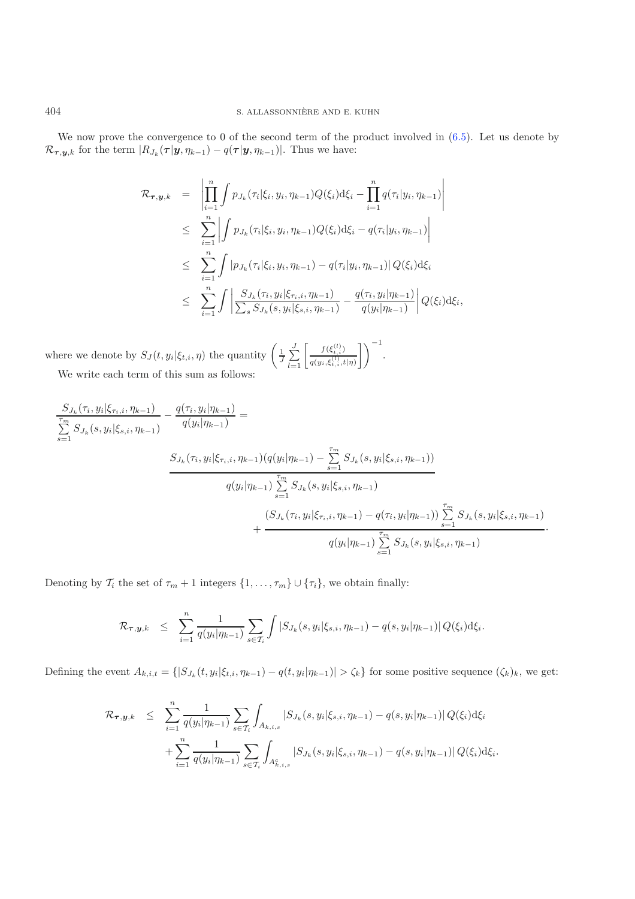We now prove the convergence to 0 of the second term of the product involved in  $(6.5)$ . Let us denote by  $\mathcal{R}_{\tau,y,k}$  for the term  $|R_{J_k}(\tau|\mathbf{y},\eta_{k-1})-q(\tau|\mathbf{y},\eta_{k-1})|$ . Thus we have:

$$
\mathcal{R}_{\tau,y,k} = \left| \prod_{i=1}^{n} \int p_{J_k}(\tau_i|\xi_i, y_i, \eta_{k-1}) Q(\xi_i) d\xi_i - \prod_{i=1}^{n} q(\tau_i|y_i, \eta_{k-1}) \right|
$$
  
\n
$$
\leq \sum_{i=1}^{n} \left| \int p_{J_k}(\tau_i|\xi_i, y_i, \eta_{k-1}) Q(\xi_i) d\xi_i - q(\tau_i|y_i, \eta_{k-1}) \right|
$$
  
\n
$$
\leq \sum_{i=1}^{n} \int \left| p_{J_k}(\tau_i|\xi_i, y_i, \eta_{k-1}) - q(\tau_i|y_i, \eta_{k-1}) \right| Q(\xi_i) d\xi_i
$$
  
\n
$$
\leq \sum_{i=1}^{n} \int \left| \frac{S_{J_k}(\tau_i, y_i|\xi_{\tau_i, i}, \eta_{k-1})}{\sum_s S_{J_k}(s, y_i|\xi_{s, i}, \eta_{k-1})} - \frac{q(\tau_i, y_i|\eta_{k-1})}{q(y_i|\eta_{k-1})} \right| Q(\xi_i) d\xi_i,
$$

where we denote by  $S_J(t, y_i | \xi_{t,i}, \eta)$  the quantity  $\left(\frac{1}{J}\right)$  $\sum_{l=1}^{J} \left[ \frac{f(\xi_{t,i}^{(l)})}{q(y_i, \xi_{t,i}^{(l)}, t)} \right]$  $q(y_i, \xi_{t,i}^{(l)}, t | \eta)$  $\bigcap_{n=1}$ We write each term of this sum as follows:

$$
\frac{S_{J_k}(\tau_i, y_i | \xi_{\tau_i, i}, \eta_{k-1})}{\sum_{s=1}^{\tau_m} S_{J_k}(s, y_i | \xi_{s,i}, \eta_{k-1})} - \frac{q(\tau_i, y_i | \eta_{k-1})}{q(y_i | \eta_{k-1})} =
$$
\n
$$
\frac{S_{J_k}(\tau_i, y_i | \xi_{\tau_i, i}, \eta_{k-1}) (q(y_i | \eta_{k-1}) - \sum_{s=1}^{\tau_m} S_{J_k}(s, y_i | \xi_{s,i}, \eta_{k-1}))}{q(y_i | \eta_{k-1}) \sum_{s=1}^{\tau_m} S_{J_k}(s, y_i | \xi_{s,i}, \eta_{k-1})}
$$
\n
$$
+ \frac{(S_{J_k}(\tau_i, y_i | \xi_{\tau_i, i}, \eta_{k-1}) - q(\tau_i, y_i | \eta_{k-1})) \sum_{s=1}^{\tau_m} S_{J_k}(s, y_i | \xi_{s,i}, \eta_{k-1})}{q(y_i | \eta_{k-1}) \sum_{s=1}^{\tau_m} S_{J_k}(s, y_i | \xi_{s,i}, \eta_{k-1})}.
$$

Denoting by  $\mathcal{T}_i$  the set of  $\tau_m + 1$  integers  $\{1, \ldots, \tau_m\} \cup \{\tau_i\}$ , we obtain finally:

$$
\mathcal{R}_{\boldsymbol{\tau}, \boldsymbol{y}, k} \leq \sum_{i=1}^n \frac{1}{q(y_i | \eta_{k-1})} \sum_{s \in \mathcal{I}_i} \int |S_{J_k}(s, y_i | \xi_{s,i}, \eta_{k-1}) - q(s, y_i | \eta_{k-1})| Q(\xi_i) d\xi_i.
$$

Defining the event  $A_{k,i,t} = \{ |S_{J_k}(t, y_i|\xi_{t,i}, \eta_{k-1}) - q(t, y_i|\eta_{k-1})| > \zeta_k \}$  for some positive sequence  $(\zeta_k)_k$ , we get:

$$
\mathcal{R}_{\tau,y,k} \leq \sum_{i=1}^n \frac{1}{q(y_i|\eta_{k-1})} \sum_{s \in \mathcal{I}_i} \int_{A_{k,i,s}} |S_{J_k}(s,y_i|\xi_{s,i},\eta_{k-1}) - q(s,y_i|\eta_{k-1})| Q(\xi_i) d\xi_i
$$
  
+ 
$$
\sum_{i=1}^n \frac{1}{q(y_i|\eta_{k-1})} \sum_{s \in \mathcal{I}_i} \int_{A_{k,i,s}^c} |S_{J_k}(s,y_i|\xi_{s,i},\eta_{k-1}) - q(s,y_i|\eta_{k-1})| Q(\xi_i) d\xi_i.
$$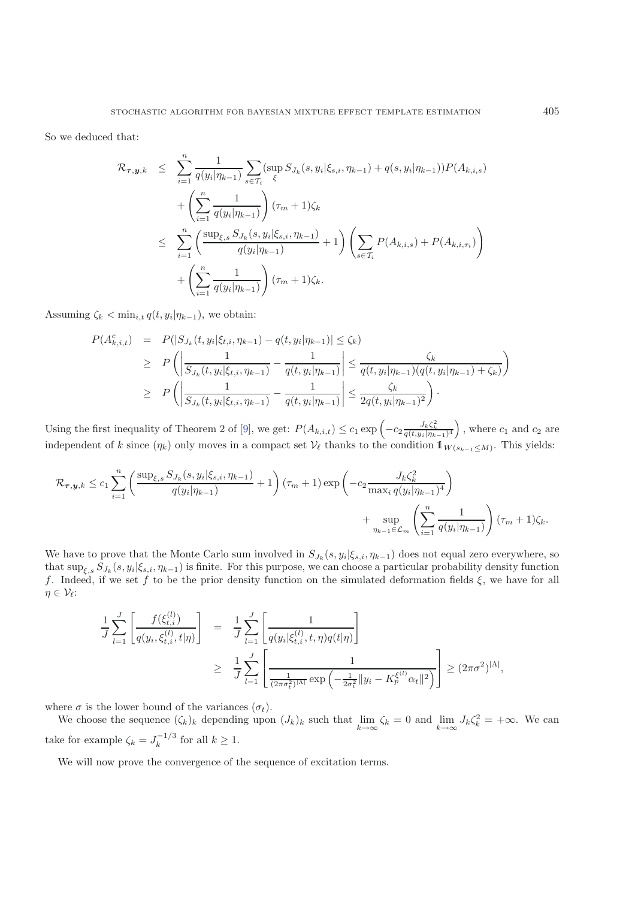So we deduced that:

$$
\mathcal{R}_{\tau,y,k} \leq \sum_{i=1}^{n} \frac{1}{q(y_i|\eta_{k-1})} \sum_{s \in \mathcal{T}_i} (\sup_{\xi} S_{J_k}(s, y_i|\xi_{s,i}, \eta_{k-1}) + q(s, y_i|\eta_{k-1})) P(A_{k,i,s}) \n+ \left( \sum_{i=1}^{n} \frac{1}{q(y_i|\eta_{k-1})} \right) (\tau_m + 1)\zeta_k \n\leq \sum_{i=1}^{n} \left( \frac{\sup_{\xi, s} S_{J_k}(s, y_i|\xi_{s,i}, \eta_{k-1})}{q(y_i|\eta_{k-1})} + 1 \right) \left( \sum_{s \in \mathcal{T}_i} P(A_{k,i,s}) + P(A_{k,i,\tau_i}) \right) \n+ \left( \sum_{i=1}^{n} \frac{1}{q(y_i|\eta_{k-1})} \right) (\tau_m + 1)\zeta_k.
$$

Assuming  $\zeta_k < \min_{i,t} q(t, y_i | \eta_{k-1})$ , we obtain:

$$
P(A_{k,i,t}^c) = P(|S_{J_k}(t, y_i | \xi_{t,i}, \eta_{k-1}) - q(t, y_i | \eta_{k-1})| \leq \zeta_k)
$$
  
\n
$$
\geq P\left(\left|\frac{1}{S_{J_k}(t, y_i | \xi_{t,i}, \eta_{k-1})} - \frac{1}{q(t, y_i | \eta_{k-1})}\right| \leq \frac{\zeta_k}{q(t, y_i | \eta_{k-1})(q(t, y_i | \eta_{k-1}) + \zeta_k)}\right)
$$
  
\n
$$
\geq P\left(\left|\frac{1}{S_{J_k}(t, y_i | \xi_{t,i}, \eta_{k-1})} - \frac{1}{q(t, y_i | \eta_{k-1})}\right| \leq \frac{\zeta_k}{2q(t, y_i | \eta_{k-1})^2}\right).
$$

Using the first inequality of Theorem 2 of [\[9\]](#page-25-10), we get:  $P(A_{k,i,t}) \leq c_1 \exp\left(-c_2 \frac{J_k \zeta_k^2}{q(t,y_i|\eta_{k-1})^4}\right)$ , where  $c_1$  and  $c_2$  are independent of k since  $(\eta_k)$  only moves in a compact set  $\mathcal{V}_\ell$  thanks to the condition  $\mathbb{1}_{W(s_{k-1} \leq M)}$ . This yields:

$$
\mathcal{R}_{\tau,y,k} \le c_1 \sum_{i=1}^n \left( \frac{\sup_{\xi,s} S_{J_k}(s,y_i|\xi_{s,i},\eta_{k-1})}{q(y_i|\eta_{k-1})} + 1 \right) (\tau_m + 1) \exp\left( -c_2 \frac{J_k \zeta_k^2}{\max_i q(y_i|\eta_{k-1})^4} \right) + \sup_{\eta_{k-1} \in \mathcal{L}_m} \left( \sum_{i=1}^n \frac{1}{q(y_i|\eta_{k-1})} \right) (\tau_m + 1)\zeta_k.
$$

We have to prove that the Monte Carlo sum involved in  $S_{J_k}(s, y_i | \xi_{s,i}, \eta_{k-1})$  does not equal zero everywhere, so that  $\sup_{\xi,s} S_{J_k}(s, y_i|\xi_{s,i}, \eta_{k-1})$  is finite. For this purpose, we can choose a particular probability density function  $f$ , local if we set  $f$  to be the prior density function on the simulated deformation fields  $f$ , f. Indeed, if we set f to be the prior density function on the simulated deformation fields  $\xi$ , we have for all  $\eta \in \mathcal{V}_\ell$ :

$$
\frac{1}{J} \sum_{l=1}^{J} \left[ \frac{f(\xi_{t,i}^{(l)})}{q(y_i, \xi_{t,i}^{(l)}, t | \eta)} \right] = \frac{1}{J} \sum_{l=1}^{J} \left[ \frac{1}{q(y_i | \xi_{t,i}^{(l)}, t, \eta) q(t | \eta)} \right]
$$
\n
$$
\geq \frac{1}{J} \sum_{l=1}^{J} \left[ \frac{1}{\frac{1}{(2\pi\sigma_t^2)^{|\Lambda|}} \exp\left(-\frac{1}{2\sigma_t^2} ||y_i - K_p^{\xi^{(l)}} \alpha_t ||^2\right)} \right] \geq (2\pi\sigma^2)^{|\Lambda|},
$$

where  $\sigma$  is the lower bound of the variances  $(\sigma_t)$ .

We choose the sequence  $(\zeta_k)_k$  depending upon  $(J_k)_k$  such that  $\lim_{k\to\infty} \zeta_k = 0$  and  $\lim_{k\to\infty} J_k \zeta_k^2 = +\infty$ . We can take for example  $\zeta_k = J_k^{-1/3}$  for all  $k \ge 1$ .

We will now prove the convergence of the sequence of excitation terms.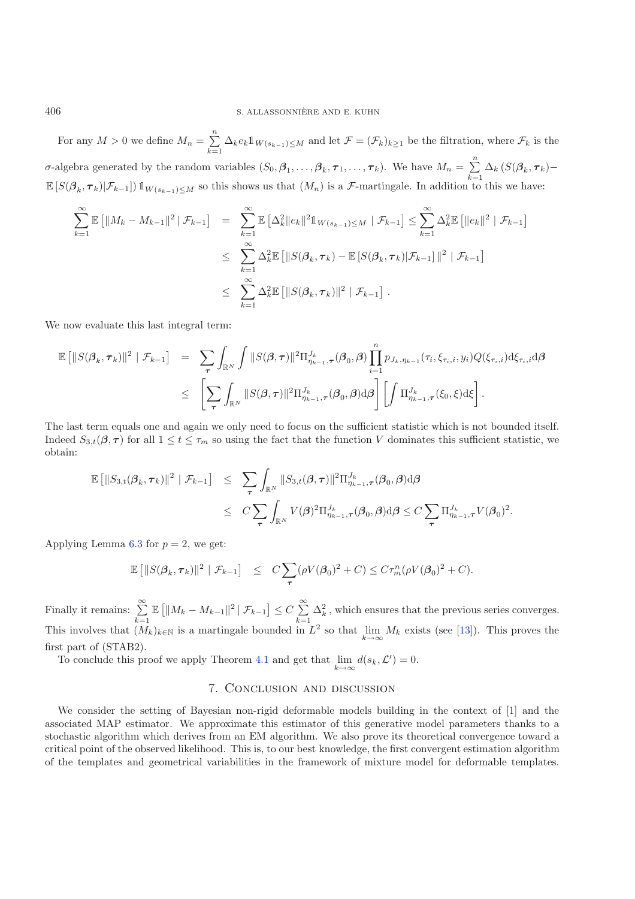For any  $M > 0$  we define  $M_n = \sum_{k=1}^n \Delta_k e_k \mathbb{1}_{W(s_{k-1}) \leq M}$  and let  $\mathcal{F} = (\mathcal{F}_k)_{k \geq 1}$  be the filtration, where  $\mathcal{F}_k$  is the *σ*-algebra generated by the random variables  $(S_0, \beta_1, ..., \beta_k, \tau_1, ..., \tau_k)$ . We have  $M_n = \sum_{k=1}^{\infty} \Delta_k (S(\beta_k, \tau_k) -$ <br>  $\mathbb{E}[S(\beta_k, \tau_k)] \mathbb{E}[S(\beta_k, \tau_k)]$  and the state of this shows us that  $(M)$  is a  $\mathcal{F}$  martingale. In a  $\mathbb{E}[S(\beta_k, \tau_k)|\mathcal{F}_{k-1}]$   $\mathbb{1}_{W(s_{k-1})\leq M}$  so this shows us that  $(M_n)$  is a  $\mathcal{F}\text{-martingale}$ . In addition to this we have:

$$
\sum_{k=1}^{\infty} \mathbb{E} \left[ \left\| M_{k} - M_{k-1} \right\|^{2} \mid \mathcal{F}_{k-1} \right] = \sum_{k=1}^{\infty} \mathbb{E} \left[ \Delta_{k}^{2} \| e_{k} \|^{2} \mathbb{1}_{W(s_{k-1}) \leq M} \mid \mathcal{F}_{k-1} \right] \leq \sum_{k=1}^{\infty} \Delta_{k}^{2} \mathbb{E} \left[ \| e_{k} \|^{2} \mid \mathcal{F}_{k-1} \right]
$$
  

$$
\leq \sum_{k=1}^{\infty} \Delta_{k}^{2} \mathbb{E} \left[ \| S(\beta_{k}, \tau_{k}) - \mathbb{E} \left[ S(\beta_{k}, \tau_{k}) | \mathcal{F}_{k-1} \right] \right\|^{2} \mid \mathcal{F}_{k-1} \right]
$$
  

$$
\leq \sum_{k=1}^{\infty} \Delta_{k}^{2} \mathbb{E} \left[ \| S(\beta_{k}, \tau_{k}) \|^{2} \mid \mathcal{F}_{k-1} \right].
$$

We now evaluate this last integral term:

$$
\mathbb{E}\left[\|S(\boldsymbol{\beta}_{k},\boldsymbol{\tau}_{k})\|^{2} \mid \mathcal{F}_{k-1}\right] = \sum_{\tau} \int_{\mathbb{R}^{N}} \int \|S(\boldsymbol{\beta},\boldsymbol{\tau})\|^{2} \Pi_{\eta_{k-1},\boldsymbol{\tau}}^{J_{k}}(\boldsymbol{\beta}_{0},\boldsymbol{\beta}) \prod_{i=1}^{n} p_{J_{k},\eta_{k-1}}(\tau_{i},\xi_{\tau_{i},i},y_{i}) Q(\xi_{\tau_{i},i}) d\xi_{\tau_{i},i} d\boldsymbol{\beta}
$$

$$
\leq \left[\sum_{\tau} \int_{\mathbb{R}^{N}} \|S(\boldsymbol{\beta},\boldsymbol{\tau})\|^{2} \Pi_{\eta_{k-1},\boldsymbol{\tau}}^{J_{k}}(\boldsymbol{\beta}_{0},\boldsymbol{\beta}) d\boldsymbol{\beta}\right] \left[\int \Pi_{\eta_{k-1},\boldsymbol{\tau}}^{J_{k}}(\xi_{0},\xi) d\xi\right].
$$

The last term equals one and again we only need to focus on the sufficient statistic which is not bounded itself. Indeed  $S_{3,t}(\beta,\tau)$  for all  $1 \le t \le \tau_m$  so using the fact that the function V dominates this sufficient statistic, we obtain:

$$
\mathbb{E} \left[ \left\| S_{3,t}(\beta_k, \tau_k) \right\|^2 \mid \mathcal{F}_{k-1} \right] \leq \sum_{\tau} \int_{\mathbb{R}^N} \|S_{3,t}(\beta, \tau)\|^2 \Pi_{\eta_{k-1}, \tau}^{J_k}(\beta_0, \beta) \mathrm{d}\beta
$$
  

$$
\leq C \sum_{\tau} \int_{\mathbb{R}^N} V(\beta)^2 \Pi_{\eta_{k-1}, \tau}^{J_k}(\beta_0, \beta) \mathrm{d}\beta \leq C \sum_{\tau} \Pi_{\eta_{k-1}, \tau}^{J_k} V(\beta_0)^2.
$$

Applying Lemma [6.3](#page-19-0) for  $p = 2$ , we get:

$$
\mathbb{E}\left[\|S(\beta_k, \tau_k)\|^2 \mid \mathcal{F}_{k-1}\right] \leq C \sum_{\tau} (\rho V(\beta_0)^2 + C) \leq C \tau_m^n (\rho V(\beta_0)^2 + C).
$$

Finally it remains:  $\sum_{n=1}^{\infty}$  $\overline{k=1}$ <br>( $\overline{M}$  $\mathbb{E} [ \|M_k - M_{k-1}\|^2 | \mathcal{F}_{k-1} ] \leq C \sum_{k=1}^{\infty}$  $\sum_{k=1}^{k-1}$  $\Delta_k^2$  , which ensures that the previous series converges. This involves that  $(M_k)_{k \in \mathbb{N}}$  is a martingale bounded in  $L^2$  so that  $\lim_{k \to \infty} M_k$  exists (see [\[13\]](#page-26-6)). This proves the first part of (STAB2).

To conclude this proof we apply Theorem [4.1](#page-8-2) and get that  $\lim_{k \to \infty} d(s_k, \mathcal{L}') = 0$ .

## 7. Conclusion and discussion

<span id="page-24-0"></span>We consider the setting of Bayesian non-rigid deformable models building in the context of [\[1\]](#page-25-4) and the associated MAP estimator. We approximate this estimator of this generative model parameters thanks to a stochastic algorithm which derives from an EM algorithm. We also prove its theoretical convergence toward a critical point of the observed likelihood. This is, to our best knowledge, the first convergent estimation algorithm of the templates and geometrical variabilities in the framework of mixture model for deformable templates.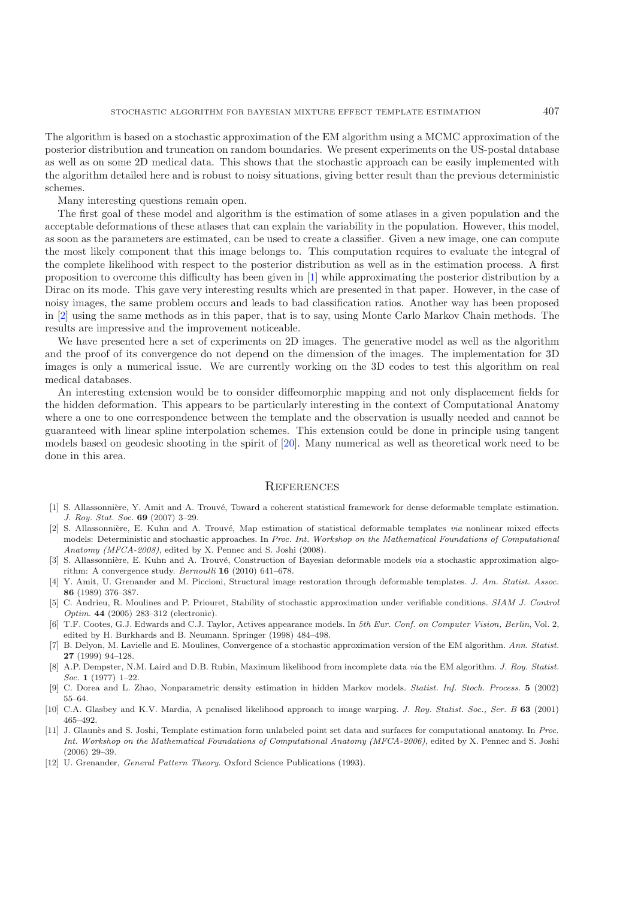The algorithm is based on a stochastic approximation of the EM algorithm using a MCMC approximation of the posterior distribution and truncation on random boundaries. We present experiments on the US-postal database as well as on some 2D medical data. This shows that the stochastic approach can be easily implemented with the algorithm detailed here and is robust to noisy situations, giving better result than the previous deterministic schemes.

Many interesting questions remain open.

The first goal of these model and algorithm is the estimation of some atlases in a given population and the acceptable deformations of these atlases that can explain the variability in the population. However, this model, as soon as the parameters are estimated, can be used to create a classifier. Given a new image, one can compute the most likely component that this image belongs to. This computation requires to evaluate the integral of the complete likelihood with respect to the posterior distribution as well as in the estimation process. A first proposition to overcome this difficulty has been given in [\[1](#page-25-4)] while approximating the posterior distribution by a Dirac on its mode. This gave very interesting results which are presented in that paper. However, in the case of noisy images, the same problem occurs and leads to bad classification ratios. Another way has been proposed in [\[2\]](#page-25-11) using the same methods as in this paper, that is to say, using Monte Carlo Markov Chain methods. The results are impressive and the improvement noticeable.

We have presented here a set of experiments on 2D images. The generative model as well as the algorithm and the proof of its convergence do not depend on the dimension of the images. The implementation for 3D images is only a numerical issue. We are currently working on the 3D codes to test this algorithm on real medical databases.

An interesting extension would be to consider diffeomorphic mapping and not only displacement fields for the hidden deformation. This appears to be particularly interesting in the context of Computational Anatomy where a one to one correspondence between the template and the observation is usually needed and cannot be guaranteed with linear spline interpolation schemes. This extension could be done in principle using tangent models based on geodesic shooting in the spirit of [\[20\]](#page-26-7). Many numerical as well as theoretical work need to be done in this area.

#### **REFERENCES**

- <span id="page-25-4"></span>[1] S. Allassonnière, Y. Amit and A. Trouvé, Toward a coherent statistical framework for dense deformable template estimation. *J. Roy. Stat. Soc.* **69** (2007) 3–29.
- <span id="page-25-11"></span>[2] S. Allassonnière, E. Kuhn and A. Trouvé, Map estimation of statistical deformable templates *via* nonlinear mixed effects models: Deterministic and stochastic approaches. In *Proc. Int. Workshop on the Mathematical Foundations of Computational Anatomy (MFCA-2008)*, edited by X. Pennec and S. Joshi (2008).
- <span id="page-25-5"></span>[3] S. Allassonnière, E. Kuhn and A. Trouvé, Construction of Bayesian deformable models *via* a stochastic approximation algorithm: A convergence study. *Bernoulli* **16** (2010) 641–678.
- <span id="page-25-8"></span>[4] Y. Amit, U. Grenander and M. Piccioni, Structural image restoration through deformable templates. *J. Am. Statist. Assoc.* **86** (1989) 376–387.
- <span id="page-25-7"></span>[5] C. Andrieu, R. Moulines and P. Priouret, Stability of stochastic approximation under verifiable conditions. *SIAM J. Control Optim.* **44** (2005) 283–312 (electronic).
- <span id="page-25-3"></span>[6] T.F. Cootes, G.J. Edwards and C.J. Taylor, Actives appearance models. In *5th Eur. Conf. on Computer Vision, Berlin*, Vol. 2, edited by H. Burkhards and B. Neumann. Springer (1998) 484–498.
- <span id="page-25-6"></span>[7] B. Delyon, M. Lavielle and E. Moulines, Convergence of a stochastic approximation version of the EM algorithm. *Ann. Statist.* **27** (1999) 94–128.
- <span id="page-25-9"></span>[8] A.P. Dempster, N.M. Laird and D.B. Rubin, Maximum likelihood from incomplete data *via* the EM algorithm. *J. Roy. Statist. Soc.* **1** (1977) 1–22.
- [9] C. Dorea and L. Zhao, Nonparametric density estimation in hidden Markov models. *Statist. Inf. Stoch. Process.* **5** (2002) 55–64.
- <span id="page-25-10"></span><span id="page-25-2"></span>[10] C.A. Glasbey and K.V. Mardia, A penalised likelihood approach to image warping. *J. Roy. Statist. Soc., Ser. B* **63** (2001) 465–492.
- <span id="page-25-1"></span>[11] J. Glaunès and S. Joshi, Template estimation form unlabeled point set data and surfaces for computational anatomy. In *Proc. Int. Workshop on the Mathematical Foundations of Computational Anatomy (MFCA-2006)*, edited by X. Pennec and S. Joshi (2006) 29–39.
- <span id="page-25-0"></span>[12] U. Grenander, *General Pattern Theory*. Oxford Science Publications (1993).